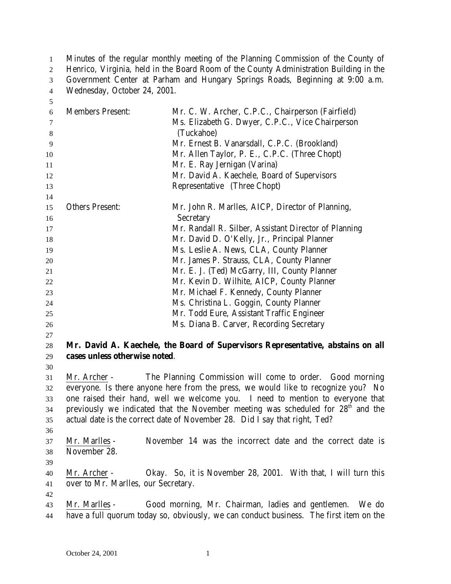Minutes of the regular monthly meeting of the Planning Commission of the County of 2 Henrico, Virginia, held in the Board Room of the County Administration Building in the Government Center at Parham and Hungary Springs Roads, Beginning at 9:00 a.m. Wednesday, October 24, 2001.

| $\sqrt{5}$ |                                     |                                                                                              |
|------------|-------------------------------------|----------------------------------------------------------------------------------------------|
| 6          | <b>Members Present:</b>             | Mr. C. W. Archer, C.P.C., Chairperson (Fairfield)                                            |
| $\tau$     |                                     | Ms. Elizabeth G. Dwyer, C.P.C., Vice Chairperson                                             |
| $\,8\,$    |                                     | (Tuckahoe)                                                                                   |
| 9          |                                     | Mr. Ernest B. Vanarsdall, C.P.C. (Brookland)                                                 |
| 10         |                                     | Mr. Allen Taylor, P. E., C.P.C. (Three Chopt)                                                |
| 11         |                                     | Mr. E. Ray Jernigan (Varina)                                                                 |
| 12         |                                     | Mr. David A. Kaechele, Board of Supervisors                                                  |
| 13         |                                     | Representative (Three Chopt)                                                                 |
| 14         |                                     |                                                                                              |
| 15<br>16   | <b>Others Present:</b>              | Mr. John R. Marlles, AICP, Director of Planning,<br>Secretary                                |
| 17         |                                     | Mr. Randall R. Silber, Assistant Director of Planning                                        |
| 18         |                                     | Mr. David D. O'Kelly, Jr., Principal Planner                                                 |
| 19         |                                     | Ms. Leslie A. News, CLA, County Planner                                                      |
| 20         |                                     | Mr. James P. Strauss, CLA, County Planner                                                    |
| 21         |                                     | Mr. E. J. (Ted) McGarry, III, County Planner                                                 |
| 22         |                                     | Mr. Kevin D. Wilhite, AICP, County Planner                                                   |
| 23         |                                     | Mr. Michael F. Kennedy, County Planner                                                       |
| 24         |                                     | Ms. Christina L. Goggin, County Planner                                                      |
| 25         |                                     | Mr. Todd Eure, Assistant Traffic Engineer                                                    |
| 26         |                                     | Ms. Diana B. Carver, Recording Secretary                                                     |
| 27         |                                     |                                                                                              |
| 28         |                                     | Mr. David A. Kaechele, the Board of Supervisors Representative, abstains on all              |
| 29         | cases unless otherwise noted.       |                                                                                              |
| 30         |                                     |                                                                                              |
| 31         | Mr. Archer -                        | The Planning Commission will come to order. Good morning                                     |
| 32         |                                     | everyone. Is there anyone here from the press, we would like to recognize you? No            |
| 33         |                                     | one raised their hand, well we welcome you. I need to mention to everyone that               |
| 34         |                                     | previously we indicated that the November meeting was scheduled for 28 <sup>th</sup> and the |
| 35         |                                     | actual date is the correct date of November 28. Did I say that right, Ted?                   |
| 36         |                                     |                                                                                              |
| 37         | Mr. Marlles -                       | November 14 was the incorrect date and the correct date is                                   |
| 38         | November 28.                        |                                                                                              |
| 39         |                                     |                                                                                              |
| 40         | Mr. Archer -                        | Okay. So, it is November 28, 2001. With that, I will turn this                               |
| 41         | over to Mr. Marlles, our Secretary. |                                                                                              |
| 42         |                                     |                                                                                              |
| 43         | Mr. Marlles -                       | Good morning, Mr. Chairman, ladies and gentlemen. We do                                      |
| 44         |                                     | have a full quorum today so, obviously, we can conduct business. The first item on the       |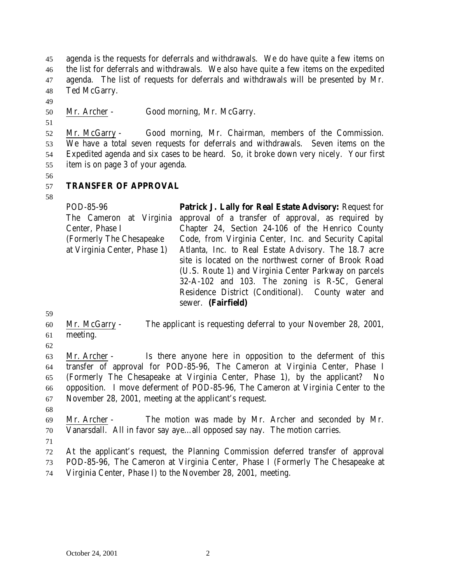agenda is the requests for deferrals and withdrawals. We do have quite a few items on the list for deferrals and withdrawals. We also have quite a few items on the expedited agenda. The list of requests for deferrals and withdrawals will be presented by Mr. Ted McGarry.

Mr. Archer - Good morning, Mr. McGarry.

 Mr. McGarry - Good morning, Mr. Chairman, members of the Commission. We have a total seven requests for deferrals and withdrawals. Seven items on the Expedited agenda and six cases to be heard. So, it broke down very nicely. Your first item is on page 3 of your agenda.

## **TRANSFER OF APPROVAL**

POD-85-96 The Cameron at Virginia Center, Phase I (Formerly The Chesapeake at Virginia Center, Phase 1) **Patrick J. Lally for Real Estate Advisory:** Request for approval of a transfer of approval, as required by Chapter 24, Section 24-106 of the Henrico County Code, from Virginia Center, Inc. and Security Capital Atlanta, Inc. to Real Estate Advisory. The 18.7 acre site is located on the northwest corner of Brook Road (U.S. Route 1) and Virginia Center Parkway on parcels 32-A-102 and 103. The zoning is R-5C, General Residence District (Conditional). County water and sewer. **(Fairfield)**

 Mr. McGarry - The applicant is requesting deferral to your November 28, 2001, meeting.

 Mr. Archer - Is there anyone here in opposition to the deferment of this transfer of approval for POD-85-96, The Cameron at Virginia Center, Phase I (Formerly The Chesapeake at Virginia Center, Phase 1), by the applicant? No opposition. I move deferment of POD-85-96, The Cameron at Virginia Center to the November 28, 2001, meeting at the applicant's request.

 Mr. Archer - The motion was made by Mr. Archer and seconded by Mr. Vanarsdall. All in favor say aye…all opposed say nay. The motion carries.

 At the applicant's request, the Planning Commission deferred transfer of approval POD-85-96, The Cameron at Virginia Center, Phase I (Formerly The Chesapeake at Virginia Center, Phase I) to the November 28, 2001, meeting.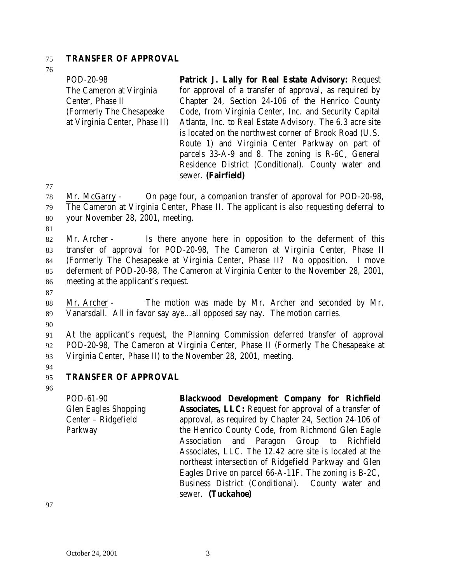#### 75 **TRANSFER OF APPROVAL**

76

| POD-20-98                     | Patrick J. Lally for Real Estate Advisory: Request       |
|-------------------------------|----------------------------------------------------------|
| The Cameron at Virginia       | for approval of a transfer of approval, as required by   |
| Center, Phase II              | Chapter 24, Section 24-106 of the Henrico County         |
| (Formerly The Chesapeake)     | Code, from Virginia Center, Inc. and Security Capital    |
| at Virginia Center, Phase II) | Atlanta, Inc. to Real Estate Advisory. The 6.3 acre site |
|                               | is located on the northwest corner of Brook Road (U.S.   |
|                               | Route 1) and Virginia Center Parkway on part of          |
|                               | parcels 33-A-9 and 8. The zoning is R-6C, General        |
|                               | Residence District (Conditional). County water and       |
|                               | sewer. (Fairfield)                                       |

77

78 Mr. McGarry - On page four, a companion transfer of approval for POD-20-98, 79 The Cameron at Virginia Center, Phase II. The applicant is also requesting deferral to 80 your November 28, 2001, meeting.

81

 Mr. Archer - Is there anyone here in opposition to the deferment of this transfer of approval for POD-20-98, The Cameron at Virginia Center, Phase II (Formerly The Chesapeake at Virginia Center, Phase II? No opposition. I move deferment of POD-20-98, The Cameron at Virginia Center to the November 28, 2001, meeting at the applicant's request.

87

88 Mr. Archer - The motion was made by Mr. Archer and seconded by Mr. 89 Vanarsdall. All in favor say aye…all opposed say nay. The motion carries.

90

91 At the applicant's request, the Planning Commission deferred transfer of approval 92 POD-20-98, The Cameron at Virginia Center, Phase II (Formerly The Chesapeake at 93 Virginia Center, Phase II) to the November 28, 2001, meeting.

94

## 95 **TRANSFER OF APPROVAL**

96

POD-61-90 Glen Eagles Shopping Center – Ridgefield Parkway **Blackwood Development Company for Richfield Associates, LLC:** Request for approval of a transfer of approval, as required by Chapter 24, Section 24-106 of the Henrico County Code, from Richmond Glen Eagle Association and Paragon Group to Richfield Associates, LLC. The 12.42 acre site is located at the northeast intersection of Ridgefield Parkway and Glen Eagles Drive on parcel 66-A-11F. The zoning is B-2C, Business District (Conditional). County water and sewer. **(Tuckahoe)**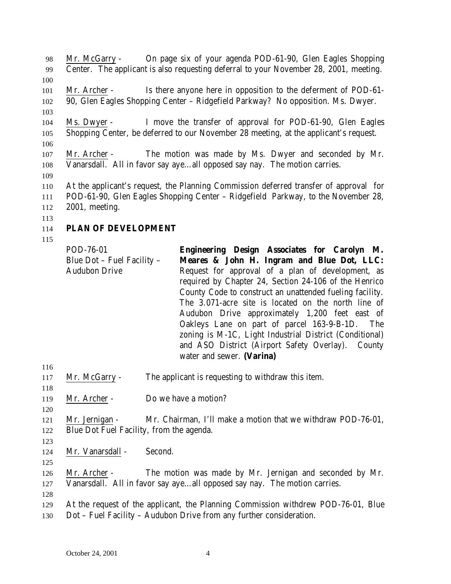Mr. McGarry - On page six of your agenda POD-61-90, Glen Eagles Shopping Center. The applicant is also requesting deferral to your November 28, 2001, meeting. Mr. Archer - Is there anyone here in opposition to the deferment of POD-61- 90, Glen Eagles Shopping Center – Ridgefield Parkway? No opposition. Ms. Dwyer. Ms. Dwyer - I move the transfer of approval for POD-61-90, Glen Eagles Shopping Center, be deferred to our November 28 meeting, at the applicant's request. Mr. Archer - The motion was made by Ms. Dwyer and seconded by Mr. Vanarsdall. All in favor say aye…all opposed say nay. The motion carries. At the applicant's request, the Planning Commission deferred transfer of approval for POD-61-90, Glen Eagles Shopping Center – Ridgefield Parkway, to the November 28, 2001, meeting. **PLAN OF DEVELOPMENT** POD-76-01 Blue Dot – Fuel Facility – **Engineering Design Associates for Carolyn M. Meares & John H. Ingram and Blue Dot, LLC:**

Audubon Drive Request for approval of a plan of development, as required by Chapter 24, Section 24-106 of the Henrico County Code to construct an unattended fueling facility. The 3.071-acre site is located on the north line of Audubon Drive approximately 1,200 feet east of Oakleys Lane on part of parcel 163-9-B-1D. The zoning is M-1C, Light Industrial District (Conditional) and ASO District (Airport Safety Overlay). County water and sewer. **(Varina)**

- Mr. McGarry The applicant is requesting to withdraw this item.
- 119 Mr. Archer Do we have a motion?
- Mr. Jernigan Mr. Chairman, I'll make a motion that we withdraw POD-76-01, Blue Dot Fuel Facility, from the agenda.

124 Mr. Vanarsdall - Second.

 Mr. Archer - The motion was made by Mr. Jernigan and seconded by Mr. Vanarsdall. All in favor say aye…all opposed say nay. The motion carries.

- At the request of the applicant, the Planning Commission withdrew POD-76-01, Blue
- Dot Fuel Facility Audubon Drive from any further consideration.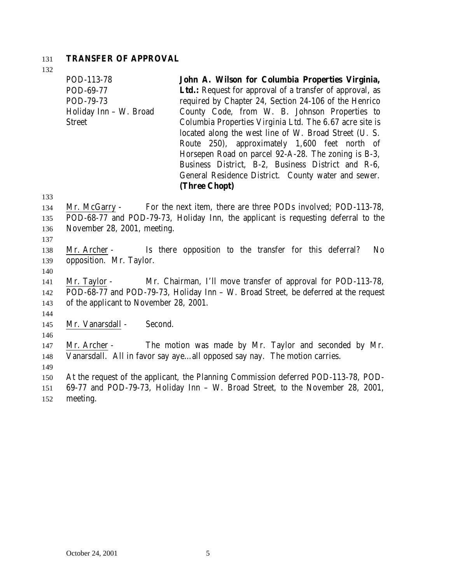#### 131 **TRANSFER OF APPROVAL**

132

POD-113-78 POD-69-77 POD-79-73 Holiday Inn – W. Broad Street **John A. Wilson for Columbia Properties Virginia,** Ltd.: Request for approval of a transfer of approval, as required by Chapter 24, Section 24-106 of the Henrico County Code, from W. B. Johnson Properties to Columbia Properties Virginia Ltd. The 6.67 acre site is located along the west line of W. Broad Street (U. S. Route 250), approximately 1,600 feet north of Horsepen Road on parcel 92-A-28. The zoning is B-3, Business District, B-2, Business District and R-6, General Residence District. County water and sewer. **(Three Chopt)**

133

134 Mr. McGarry - For the next item, there are three PODs involved; POD-113-78, 135 POD-68-77 and POD-79-73, Holiday Inn, the applicant is requesting deferral to the 136 November 28, 2001, meeting.

- 138 Mr. Archer Is there opposition to the transfer for this deferral? No 139 opposition. Mr. Taylor.
- 140

137

141 Mr. Taylor - Mr. Chairman, I'll move transfer of approval for POD-113-78, 142 POD-68-77 and POD-79-73, Holiday Inn – W. Broad Street, be deferred at the request 143 of the applicant to November 28, 2001.

- 145 Mr. Vanarsdall Second.
- 146

144

147 Mr. Archer - The motion was made by Mr. Taylor and seconded by Mr. 148 Vanarsdall. All in favor say aye…all opposed say nay. The motion carries.

149

150 At the request of the applicant, the Planning Commission deferred POD-113-78, POD-

151 69-77 and POD-79-73, Holiday Inn – W. Broad Street, to the November 28, 2001, 152 meeting.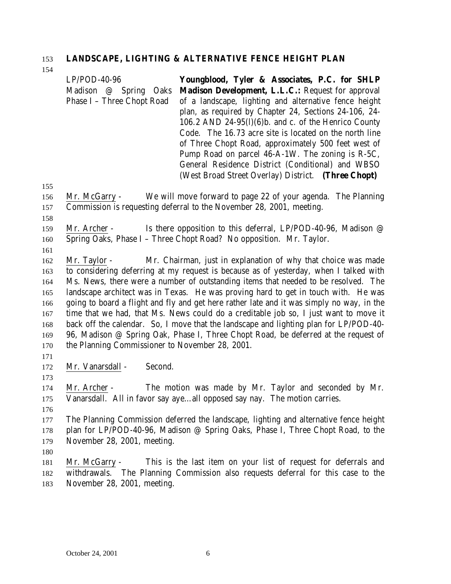# **LANDSCAPE, LIGHTING & ALTERNATIVE FENCE HEIGHT PLAN**

|     | $LP/POD-40-96$                                  | Youngblood, Tyler & Associates, P.C. for SHLP                                             |
|-----|-------------------------------------------------|-------------------------------------------------------------------------------------------|
|     | Madison @ Spring Oaks                           | Madison Development, L.L.C.: Request for approval                                         |
|     | Phase I - Three Chopt Road                      | of a landscape, lighting and alternative fence height                                     |
|     |                                                 | plan, as required by Chapter 24, Sections 24-106, 24-                                     |
|     |                                                 | 106.2 AND 24-95(l)(6)b. and c. of the Henrico County                                      |
|     |                                                 | Code. The 16.73 acre site is located on the north line                                    |
|     |                                                 | of Three Chopt Road, approximately 500 feet west of                                       |
|     |                                                 | Pump Road on parcel 46-A-1W. The zoning is R-5C,                                          |
|     |                                                 | General Residence District (Conditional) and WBSO                                         |
|     |                                                 | (West Broad Street Overlay) District. (Three Chopt)                                       |
| 155 |                                                 |                                                                                           |
| 156 | Mr. McGarry -                                   | We will move forward to page 22 of your agenda. The Planning                              |
| 157 |                                                 | Commission is requesting deferral to the November 28, 2001, meeting.                      |
| 158 |                                                 |                                                                                           |
| 159 | Mr. Archer -                                    | Is there opposition to this deferral, LP/POD-40-96, Madison $\oslash$                     |
| 160 |                                                 | Spring Oaks, Phase I - Three Chopt Road? No opposition. Mr. Taylor.                       |
| 161 |                                                 |                                                                                           |
| 162 | Mr. Taylor -                                    | Mr. Chairman, just in explanation of why that choice was made                             |
| 163 |                                                 | to considering deferring at my request is because as of yesterday, when I talked with     |
| 164 |                                                 | Ms. News, there were a number of outstanding items that needed to be resolved. The        |
| 165 |                                                 | landscape architect was in Texas. He was proving hard to get in touch with. He was        |
| 166 |                                                 | going to board a flight and fly and get here rather late and it was simply no way, in the |
| 167 |                                                 | time that we had, that Ms. News could do a creditable job so, I just want to move it      |
| 168 |                                                 | back off the calendar. So, I move that the landscape and lighting plan for LP/POD-40-     |
| 169 |                                                 | 96, Madison @ Spring Oak, Phase I, Three Chopt Road, be deferred at the request of        |
| 170 | the Planning Commissioner to November 28, 2001. |                                                                                           |
| 171 |                                                 |                                                                                           |
| 172 | Second.<br>Mr. Vanarsdall -                     |                                                                                           |
| 173 |                                                 |                                                                                           |
| 174 | Mr. Archer -                                    | The motion was made by Mr. Taylor and seconded by Mr.                                     |
| 175 |                                                 | Vanarsdall. All in favor say ayeall opposed say nay. The motion carries.                  |
| 176 |                                                 |                                                                                           |
| 177 |                                                 | The Planning Commission deferred the landscape, lighting and alternative fence height     |
| 178 |                                                 | plan for LP/POD-40-96, Madison @ Spring Oaks, Phase I, Three Chopt Road, to the           |
| 179 | November 28, 2001, meeting.                     |                                                                                           |
| 180 |                                                 |                                                                                           |
| 181 | Mr. McGarry -                                   | This is the last item on your list of request for deferrals and                           |
| 182 | withdrawals.                                    | The Planning Commission also requests deferral for this case to the                       |
| 183 | November 28, 2001, meeting.                     |                                                                                           |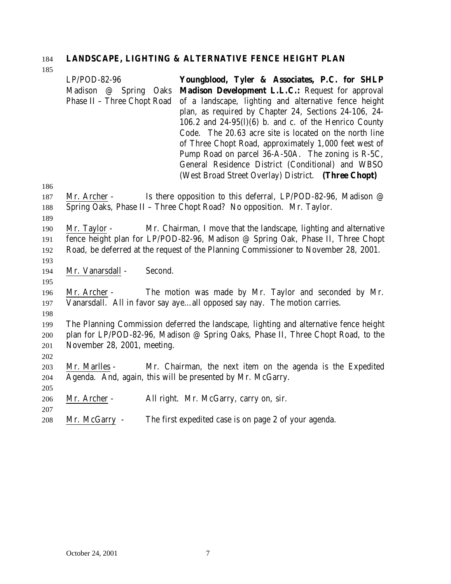## **LANDSCAPE, LIGHTING & ALTERNATIVE FENCE HEIGHT PLAN**

| 186                      | $LP/POD-82-96$<br>Madison @ Spring Oaks<br>Phase II - Three Chopt Road |         | Youngblood, Tyler & Associates, P.C. for SHLP<br>Madison Development L.L.C.: Request for approval<br>of a landscape, lighting and alternative fence height<br>plan, as required by Chapter 24, Sections 24-106, 24-<br>106.2 and $24-95(l)(6)$ b. and c. of the Henrico County<br>Code. The 20.63 acre site is located on the north line<br>of Three Chopt Road, approximately 1,000 feet west of<br>Pump Road on parcel 36-A-50A. The zoning is R-5C,<br>General Residence District (Conditional) and WBSO<br>(West Broad Street Overlay) District. (Three Chopt) |
|--------------------------|------------------------------------------------------------------------|---------|--------------------------------------------------------------------------------------------------------------------------------------------------------------------------------------------------------------------------------------------------------------------------------------------------------------------------------------------------------------------------------------------------------------------------------------------------------------------------------------------------------------------------------------------------------------------|
| 187<br>188<br>189        | Mr. Archer -                                                           |         | Is there opposition to this deferral, LP/POD-82-96, Madison $\varnothing$<br>Spring Oaks, Phase II - Three Chopt Road? No opposition. Mr. Taylor.                                                                                                                                                                                                                                                                                                                                                                                                                  |
| 190<br>191<br>192<br>193 | Mr. Taylor -                                                           |         | Mr. Chairman, I move that the landscape, lighting and alternative<br>fence height plan for LP/POD-82-96, Madison @ Spring Oak, Phase II, Three Chopt<br>Road, be deferred at the request of the Planning Commissioner to November 28, 2001.                                                                                                                                                                                                                                                                                                                        |
| 194<br>195               | Mr. Vanarsdall -                                                       | Second. |                                                                                                                                                                                                                                                                                                                                                                                                                                                                                                                                                                    |
| 196<br>197<br>198        | Mr. Archer -                                                           |         | The motion was made by Mr. Taylor and seconded by Mr.<br>Vanarsdall. All in favor say ayeall opposed say nay. The motion carries.                                                                                                                                                                                                                                                                                                                                                                                                                                  |
| 199<br>200<br>201<br>202 | November 28, 2001, meeting.                                            |         | The Planning Commission deferred the landscape, lighting and alternative fence height<br>plan for LP/POD-82-96, Madison @ Spring Oaks, Phase II, Three Chopt Road, to the                                                                                                                                                                                                                                                                                                                                                                                          |
| 203<br>204<br>205        | Mr. Marlles -                                                          |         | Mr. Chairman, the next item on the agenda is the Expedited<br>Agenda. And, again, this will be presented by Mr. McGarry.                                                                                                                                                                                                                                                                                                                                                                                                                                           |
| 206                      | Mr. Archer -                                                           |         | All right. Mr. McGarry, carry on, sir.                                                                                                                                                                                                                                                                                                                                                                                                                                                                                                                             |
| 207<br>208               | Mr. McGarry -                                                          |         | The first expedited case is on page 2 of your agenda.                                                                                                                                                                                                                                                                                                                                                                                                                                                                                                              |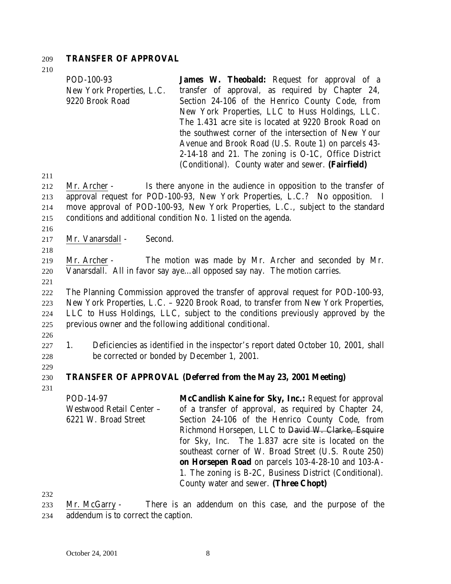#### 209 **TRANSFER OF APPROVAL**

210

| POD-100-93                | <b>James W. Theobald:</b> Request for approval of a  |
|---------------------------|------------------------------------------------------|
| New York Properties, L.C. | transfer of approval, as required by Chapter 24,     |
| 9220 Brook Road           | Section 24-106 of the Henrico County Code, from      |
|                           | New York Properties, LLC to Huss Holdings, LLC.      |
|                           | The 1.431 acre site is located at 9220 Brook Road on |
|                           | the southwest corner of the intersection of New Your |
|                           | Avenue and Brook Road (U.S. Route 1) on parcels 43-  |
|                           | 2-14-18 and 21. The zoning is O-1C, Office District  |
|                           | (Conditional). County water and sewer. (Fairfield)   |

211

 Mr. Archer - Is there anyone in the audience in opposition to the transfer of approval request for POD-100-93, New York Properties, L.C.? No opposition. I move approval of POD-100-93, New York Properties, L.C., subject to the standard conditions and additional condition No. 1 listed on the agenda.

216

218

217 Mr. Vanarsdall - Second.

219 Mr. Archer - The motion was made by Mr. Archer and seconded by Mr. 220 Vanarsdall. All in favor say aye…all opposed say nay. The motion carries.

221

 The Planning Commission approved the transfer of approval request for POD-100-93, New York Properties, L.C. – 9220 Brook Road, to transfer from New York Properties, LLC to Huss Holdings, LLC, subject to the conditions previously approved by the previous owner and the following additional conditional.

226

227 1. Deficiencies as identified in the inspector's report dated October 10, 2001, shall 228 be corrected or bonded by December 1, 2001.

229

231

## 230 **TRANSFER OF APPROVAL (Deferred from the May 23, 2001 Meeting)**

POD-14-97 Westwood Retail Center – 6221 W. Broad Street **McCandlish Kaine for Sky, Inc.:** Request for approval of a transfer of approval, as required by Chapter 24, Section 24-106 of the Henrico County Code, from Richmond Horsepen, LLC to David W. Clarke, Esquire for Sky, Inc. The 1.837 acre site is located on the southeast corner of W. Broad Street (U.S. Route 250) **on Horsepen Road** on parcels 103-4-28-10 and 103-A-1. The zoning is B-2C, Business District (Conditional). County water and sewer. **(Three Chopt)**

232

233 Mr. McGarry - There is an addendum on this case, and the purpose of the 234 addendum is to correct the caption.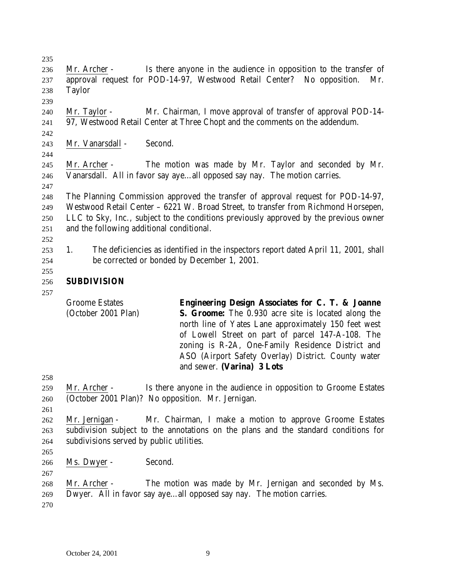Mr. Archer - Is there anyone in the audience in opposition to the transfer of approval request for POD-14-97, Westwood Retail Center? No opposition. Mr. Taylor Mr. Taylor - Mr. Chairman, I move approval of transfer of approval POD-14- 97, Westwood Retail Center at Three Chopt and the comments on the addendum. Mr. Vanarsdall - Second. Mr. Archer - The motion was made by Mr. Taylor and seconded by Mr. Vanarsdall. All in favor say aye…all opposed say nay. The motion carries. The Planning Commission approved the transfer of approval request for POD-14-97, Westwood Retail Center – 6221 W. Broad Street, to transfer from Richmond Horsepen, LLC to Sky, Inc., subject to the conditions previously approved by the previous owner and the following additional conditional. 1. The deficiencies as identified in the inspectors report dated April 11, 2001, shall be corrected or bonded by December 1, 2001. **SUBDIVISION** Groome Estates (October 2001 Plan) **Engineering Design Associates for C. T. & Joanne S. Groome:** The 0.930 acre site is located along the north line of Yates Lane approximately 150 feet west of Lowell Street on part of parcel 147-A-108. The zoning is R-2A, One-Family Residence District and ASO (Airport Safety Overlay) District. County water and sewer. **(Varina) 3 Lots** Mr. Archer - Is there anyone in the audience in opposition to Groome Estates (October 2001 Plan)? No opposition. Mr. Jernigan. Mr. Jernigan - Mr. Chairman, I make a motion to approve Groome Estates subdivision subject to the annotations on the plans and the standard conditions for subdivisions served by public utilities. Ms. Dwyer - Second.

 Mr. Archer - The motion was made by Mr. Jernigan and seconded by Ms. Dwyer. All in favor say aye…all opposed say nay. The motion carries.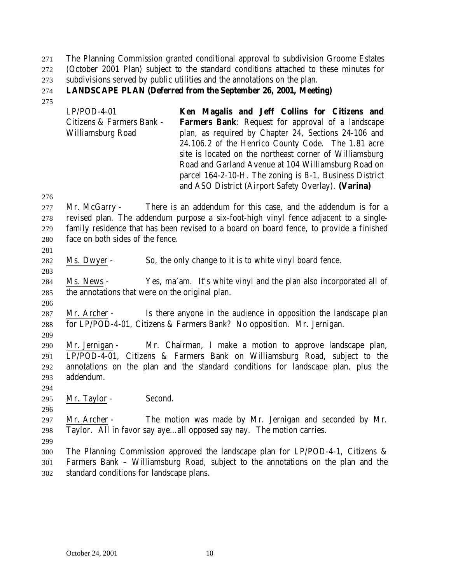The Planning Commission granted conditional approval to subdivision Groome Estates (October 2001 Plan) subject to the standard conditions attached to these minutes for subdivisions served by public utilities and the annotations on the plan.

## **LANDSCAPE PLAN (Deferred from the September 26, 2001, Meeting)**

LP/POD-4-01 Citizens & Farmers Bank - Williamsburg Road **Ken Magalis and Jeff Collins for Citizens and Farmers Bank**: Request for approval of a landscape plan, as required by Chapter 24, Sections 24-106 and 24.106.2 of the Henrico County Code. The 1.81 acre site is located on the northeast corner of Williamsburg Road and Garland Avenue at 104 Williamsburg Road on parcel 164-2-10-H. The zoning is B-1, Business District and ASO District (Airport Safety Overlay). **(Varina)**

 Mr. McGarry - There is an addendum for this case, and the addendum is for a revised plan. The addendum purpose a six-foot-high vinyl fence adjacent to a single- family residence that has been revised to a board on board fence, to provide a finished face on both sides of the fence.

Ms. Dwyer - So, the only change to it is to white vinyl board fence.

 Ms. News - Yes, ma'am. It's white vinyl and the plan also incorporated all of the annotations that were on the original plan.

 Mr. Archer - Is there anyone in the audience in opposition the landscape plan for LP/POD-4-01, Citizens & Farmers Bank? No opposition. Mr. Jernigan.

 Mr. Jernigan - Mr. Chairman, I make a motion to approve landscape plan, LP/POD-4-01, Citizens & Farmers Bank on Williamsburg Road, subject to the annotations on the plan and the standard conditions for landscape plan, plus the addendum.

295 Mr. Taylor - Second.

 Mr. Archer - The motion was made by Mr. Jernigan and seconded by Mr. Taylor. All in favor say aye…all opposed say nay. The motion carries.

 The Planning Commission approved the landscape plan for LP/POD-4-1, Citizens & Farmers Bank – Williamsburg Road, subject to the annotations on the plan and the standard conditions for landscape plans.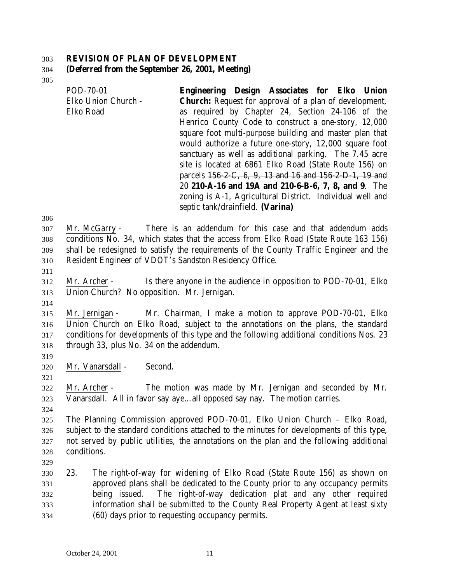#### **REVISION OF PLAN OF DEVELOPMENT**

#### **(Deferred from the September 26, 2001, Meeting)**

| POD-70-01           | Engineering Design Associates for Elko Union                  |
|---------------------|---------------------------------------------------------------|
| Elko Union Church - | <b>Church:</b> Request for approval of a plan of development, |
| Elko Road           | as required by Chapter 24, Section 24-106 of the              |
|                     | Henrico County Code to construct a one-story, 12,000          |
|                     | square foot multi-purpose building and master plan that       |
|                     | would authorize a future one-story, 12,000 square foot        |
|                     | sanctuary as well as additional parking. The 7.45 acre        |
|                     | site is located at 6861 Elko Road (State Route 156) on        |
|                     | parcels 156-2-C, 6, 9, 13 and 16 and 156-2-D-1, 19 and        |
|                     | 20 210-A-16 and 19A and 210-6-B-6, 7, 8, and 9. The           |
|                     | zoning is A-1, Agricultural District. Individual well and     |
|                     | septic tank/drainfield. (Varina)                              |

 Mr. McGarry - There is an addendum for this case and that addendum adds conditions No. 34, which states that the access from Elko Road (State Route 163 156) shall be redesigned to satisfy the requirements of the County Traffic Engineer and the Resident Engineer of VDOT's Sandston Residency Office.

 Mr. Archer - Is there anyone in the audience in opposition to POD-70-01, Elko Union Church? No opposition. Mr. Jernigan.

 Mr. Jernigan - Mr. Chairman, I make a motion to approve POD-70-01, Elko Union Church on Elko Road, subject to the annotations on the plans, the standard conditions for developments of this type and the following additional conditions Nos. 23 through 33, plus No. 34 on the addendum.

Mr. Vanarsdall - Second.

 Mr. Archer - The motion was made by Mr. Jernigan and seconded by Mr. Vanarsdall. All in favor say aye…all opposed say nay. The motion carries.

 The Planning Commission approved POD-70-01, Elko Union Church – Elko Road, subject to the standard conditions attached to the minutes for developments of this type, not served by public utilities, the annotations on the plan and the following additional conditions.

 23. The right-of-way for widening of Elko Road (State Route 156) as shown on approved plans shall be dedicated to the County prior to any occupancy permits being issued. The right-of-way dedication plat and any other required information shall be submitted to the County Real Property Agent at least sixty (60) days prior to requesting occupancy permits.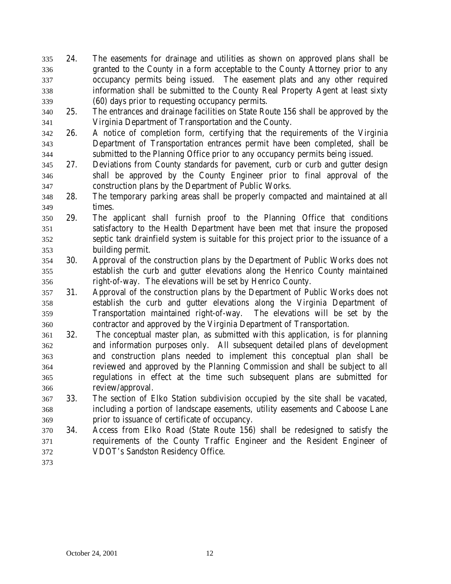- 24. The easements for drainage and utilities as shown on approved plans shall be granted to the County in a form acceptable to the County Attorney prior to any occupancy permits being issued. The easement plats and any other required information shall be submitted to the County Real Property Agent at least sixty (60) days prior to requesting occupancy permits.
- 25. The entrances and drainage facilities on State Route 156 shall be approved by the Virginia Department of Transportation and the County.
- 26. A notice of completion form, certifying that the requirements of the Virginia Department of Transportation entrances permit have been completed, shall be submitted to the Planning Office prior to any occupancy permits being issued.
- 27. Deviations from County standards for pavement, curb or curb and gutter design shall be approved by the County Engineer prior to final approval of the construction plans by the Department of Public Works.
- 28. The temporary parking areas shall be properly compacted and maintained at all times.
- 29. The applicant shall furnish proof to the Planning Office that conditions satisfactory to the Health Department have been met that insure the proposed septic tank drainfield system is suitable for this project prior to the issuance of a building permit.
- 30. Approval of the construction plans by the Department of Public Works does not establish the curb and gutter elevations along the Henrico County maintained right-of-way. The elevations will be set by Henrico County.
- 31. Approval of the construction plans by the Department of Public Works does not establish the curb and gutter elevations along the Virginia Department of Transportation maintained right-of-way. The elevations will be set by the contractor and approved by the Virginia Department of Transportation.
- 32. The conceptual master plan, as submitted with this application, is for planning and information purposes only. All subsequent detailed plans of development and construction plans needed to implement this conceptual plan shall be reviewed and approved by the Planning Commission and shall be subject to all regulations in effect at the time such subsequent plans are submitted for review/approval.
- 33. The section of Elko Station subdivision occupied by the site shall be vacated, including a portion of landscape easements, utility easements and Caboose Lane prior to issuance of certificate of occupancy.
- 34. Access from Elko Road (State Route 156) shall be redesigned to satisfy the requirements of the County Traffic Engineer and the Resident Engineer of VDOT's Sandston Residency Office.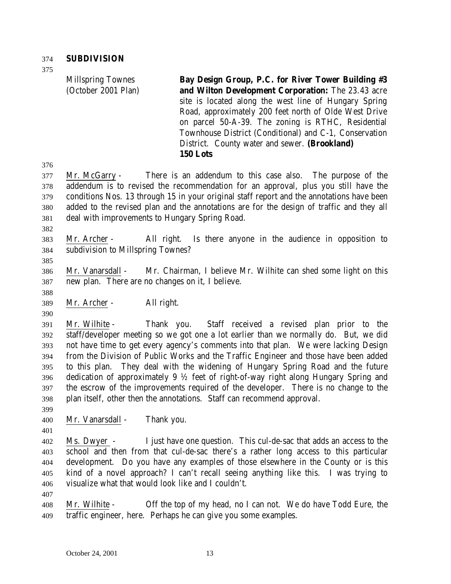Millspring Townes (October 2001 Plan) **Bay Design Group, P.C. for River Tower Building #3 and Wilton Development Corporation:** The 23.43 acre site is located along the west line of Hungary Spring Road, approximately 200 feet north of Olde West Drive on parcel 50-A-39. The zoning is RTHC, Residential Townhouse District (Conditional) and C-1, Conservation District. County water and sewer. **(Brookland) 150 Lots**

 Mr. McGarry - There is an addendum to this case also. The purpose of the addendum is to revised the recommendation for an approval, plus you still have the conditions Nos. 13 through 15 in your original staff report and the annotations have been added to the revised plan and the annotations are for the design of traffic and they all deal with improvements to Hungary Spring Road.

 Mr. Archer - All right. Is there anyone in the audience in opposition to subdivision to Millspring Townes?

 Mr. Vanarsdall - Mr. Chairman, I believe Mr. Wilhite can shed some light on this new plan. There are no changes on it, I believe.

Mr. Archer - All right.

 Mr. Wilhite - Thank you. Staff received a revised plan prior to the staff/developer meeting so we got one a lot earlier than we normally do. But, we did not have time to get every agency's comments into that plan. We were lacking Design from the Division of Public Works and the Traffic Engineer and those have been added to this plan. They deal with the widening of Hungary Spring Road and the future dedication of approximately 9 ½ feet of right-of-way right along Hungary Spring and the escrow of the improvements required of the developer. There is no change to the plan itself, other then the annotations. Staff can recommend approval.

Mr. Vanarsdall - Thank you.

 Ms. Dwyer - I just have one question. This cul-de-sac that adds an access to the school and then from that cul-de-sac there's a rather long access to this particular development. Do you have any examples of those elsewhere in the County or is this kind of a novel approach? I can't recall seeing anything like this. I was trying to visualize what that would look like and I couldn't.

 Mr. Wilhite - Off the top of my head, no I can not. We do have Todd Eure, the traffic engineer, here. Perhaps he can give you some examples.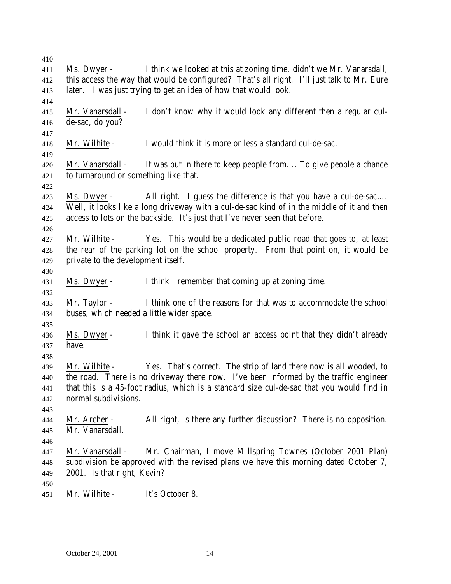Ms. Dwyer - I think we looked at this at zoning time, didn't we Mr. Vanarsdall, this access the way that would be configured? That's all right. I'll just talk to Mr. Eure later. I was just trying to get an idea of how that would look. Mr. Vanarsdall - I don't know why it would look any different then a regular cul- de-sac, do you? Mr. Wilhite - I would think it is more or less a standard cul-de-sac. Mr. Vanarsdall - It was put in there to keep people from…. To give people a chance to turnaround or something like that. Ms. Dwyer - All right. I guess the difference is that you have a cul-de-sac…. Well, it looks like a long driveway with a cul-de-sac kind of in the middle of it and then access to lots on the backside. It's just that I've never seen that before. Mr. Wilhite - Yes. This would be a dedicated public road that goes to, at least the rear of the parking lot on the school property. From that point on, it would be private to the development itself. Ms. Dwyer - I think I remember that coming up at zoning time. Mr. Taylor - I think one of the reasons for that was to accommodate the school buses, which needed a little wider space. Ms. Dwyer - I think it gave the school an access point that they didn't already have. Mr. Wilhite - Yes. That's correct. The strip of land there now is all wooded, to the road. There is no driveway there now. I've been informed by the traffic engineer that this is a 45-foot radius, which is a standard size cul-de-sac that you would find in normal subdivisions. Mr. Archer - All right, is there any further discussion? There is no opposition. Mr. Vanarsdall. Mr. Vanarsdall - Mr. Chairman, I move Millspring Townes (October 2001 Plan) subdivision be approved with the revised plans we have this morning dated October 7, 2001. Is that right, Kevin? Mr. Wilhite - It's October 8.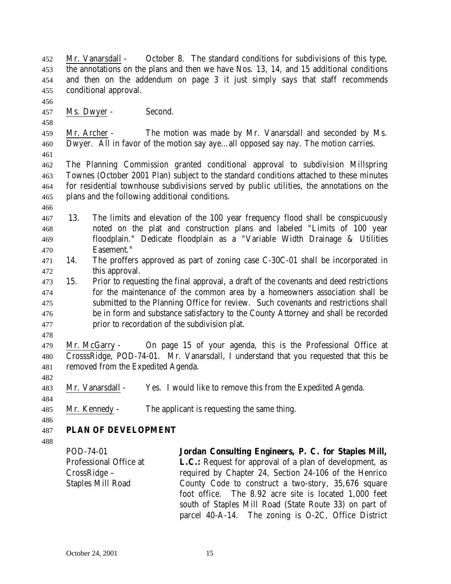Mr. Vanarsdall - October 8. The standard conditions for subdivisions of this type, the annotations on the plans and then we have Nos. 13, 14, and 15 additional conditions and then on the addendum on page 3 it just simply says that staff recommends conditional approval. Ms. Dwyer - Second. Mr. Archer - The motion was made by Mr. Vanarsdall and seconded by Ms. Dwyer. All in favor of the motion say aye…all opposed say nay. The motion carries. The Planning Commission granted conditional approval to subdivision Millspring Townes (October 2001 Plan) subject to the standard conditions attached to these minutes for residential townhouse subdivisions served by public utilities, the annotations on the plans and the following additional conditions. 13. The limits and elevation of the 100 year frequency flood shall be conspicuously noted on the plat and construction plans and labeled "Limits of 100 year floodplain." Dedicate floodplain as a "Variable Width Drainage & Utilities Easement." 14. The proffers approved as part of zoning case C-30C-01 shall be incorporated in this approval. 15. Prior to requesting the final approval, a draft of the covenants and deed restrictions for the maintenance of the common area by a homeowners association shall be submitted to the Planning Office for review. Such covenants and restrictions shall be in form and substance satisfactory to the County Attorney and shall be recorded prior to recordation of the subdivision plat. Mr. McGarry - On page 15 of your agenda, this is the Professional Office at CrosssRidge, POD-74-01. Mr. Vanarsdall, I understand that you requested that this be removed from the Expedited Agenda. Mr. Vanarsdall - Yes. I would like to remove this from the Expedited Agenda. Mr. Kennedy - The applicant is requesting the same thing. **PLAN OF DEVELOPMENT** POD-74-01 Professional Office at CrossRidge – Staples Mill Road **Jordan Consulting Engineers, P. C. for Staples Mill, L.C.:** Request for approval of a plan of development, as required by Chapter 24, Section 24-106 of the Henrico County Code to construct a two-story, 35,676 square foot office. The 8.92 acre site is located 1,000 feet south of Staples Mill Road (State Route 33) on part of

parcel 40-A-14. The zoning is O-2C, Office District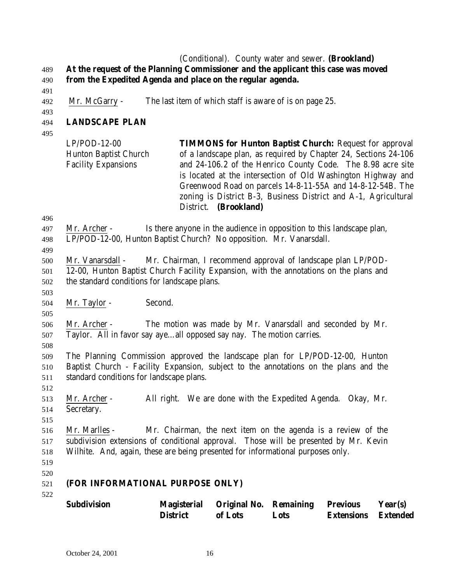#### (Conditional). County water and sewer. **(Brookland) At the request of the Planning Commissioner and the applicant this case was moved from the Expedited Agenda and place on the regular agenda.**

- 
- Mr. McGarry The last item of which staff is aware of is on page 25.
- 

# **LANDSCAPE PLAN**

| <b>TIMMONS for Hunton Baptist Church:</b> Request for approval  |
|-----------------------------------------------------------------|
| of a landscape plan, as required by Chapter 24, Sections 24-106 |
| and 24-106.2 of the Henrico County Code. The 8.98 acre site     |
| is located at the intersection of Old Washington Highway and    |
| Greenwood Road on parcels 14-8-11-55A and 14-8-12-54B. The      |
| zoning is District B-3, Business District and A-1, Agricultural |
| District. (Brookland)                                           |
|                                                                 |

 Mr. Vanarsdall - Mr. Chairman, I recommend approval of landscape plan LP/POD- 12-00, Hunton Baptist Church Facility Expansion, with the annotations on the plans and the standard conditions for landscape plans.

Mr. Taylor - Second.

 Mr. Archer - The motion was made by Mr. Vanarsdall and seconded by Mr. Taylor. All in favor say aye…all opposed say nay. The motion carries.

 The Planning Commission approved the landscape plan for LP/POD-12-00, Hunton Baptist Church - Facility Expansion, subject to the annotations on the plans and the standard conditions for landscape plans.

 Mr. Archer - All right. We are done with the Expedited Agenda. Okay, Mr. Secretary.

 Mr. Marlles - Mr. Chairman, the next item on the agenda is a review of the subdivision extensions of conditional approval. Those will be presented by Mr. Kevin Wilhite. And, again, these are being presented for informational purposes only.

 

# **(FOR INFORMATIONAL PURPOSE ONLY)**

| Subdivision | <b>Magisterial</b> | <b>Original No. Remaining</b> |      | <b>Previous</b>            | Year(s) |
|-------------|--------------------|-------------------------------|------|----------------------------|---------|
|             | <b>District</b>    | of Lots                       | Lots | <b>Extensions</b> Extended |         |

 Mr. Archer - Is there anyone in the audience in opposition to this landscape plan, LP/POD-12-00, Hunton Baptist Church? No opposition. Mr. Vanarsdall.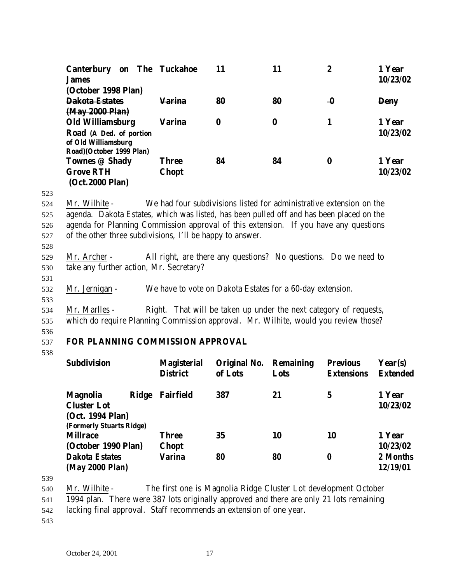| <b>Canterbury</b>        | on The Tuckahoe | 11 | 11 | 2        | 1 Year      |
|--------------------------|-----------------|----|----|----------|-------------|
| <b>James</b>             |                 |    |    |          | 10/23/02    |
| (October 1998 Plan)      |                 |    |    |          |             |
| <b>Dakota Estates</b>    | <u>Varina</u>   | 80 | 80 | -0       | <b>Deny</b> |
| (May 2000 Plan)          |                 |    |    |          |             |
| <b>Old Williamsburg</b>  | Varina          | 0  | 0  |          | 1 Year      |
| Road (A Ded. of portion  |                 |    |    |          | 10/23/02    |
| of Old Williamsburg      |                 |    |    |          |             |
| Road)(October 1999 Plan) |                 |    |    |          |             |
| Townes @ Shady           | Three           | 84 | 84 | $\bf{0}$ | 1 Year      |
| <b>Grove RTH</b>         | <b>Chopt</b>    |    |    |          | 10/23/02    |
| (Oct. 2000 Plan)         |                 |    |    |          |             |

523

 Mr. Wilhite - We had four subdivisions listed for administrative extension on the agenda. Dakota Estates, which was listed, has been pulled off and has been placed on the agenda for Planning Commission approval of this extension. If you have any questions of the other three subdivisions, I'll be happy to answer.

528

531

529 Mr. Archer - All right, are there any questions? No questions. Do we need to 530 take any further action, Mr. Secretary?

532 Mr. Jernigan - We have to vote on Dakota Estates for a 60-day extension.

533 534 Mr. Marlles - Right. That will be taken up under the next category of requests,

535 which do require Planning Commission approval. Mr. Wilhite, would you review those?

536

## 537 **FOR PLANNING COMMISSION APPROVAL**

538

| <b>Subdivision</b>                     | <b>Magisterial</b><br><b>District</b> | Original No.<br>of Lots | <b>Remaining</b><br>Lots | <b>Previous</b><br><b>Extensions</b> | Year(s)<br><b>Extended</b> |
|----------------------------------------|---------------------------------------|-------------------------|--------------------------|--------------------------------------|----------------------------|
| <b>Ridge</b><br><b>Magnolia</b>        | <b>Fairfield</b>                      | 387                     | 21                       | 5                                    | 1 Year                     |
| <b>Cluster Lot</b><br>(Oct. 1994 Plan) |                                       |                         |                          |                                      | 10/23/02                   |
| (Formerly Stuarts Ridge)               |                                       |                         |                          |                                      |                            |
| <b>Millrace</b>                        | <b>Three</b>                          | 35                      | 10                       | 10                                   | 1 Year                     |
| (October 1990 Plan)                    | <b>Chopt</b>                          |                         |                          |                                      | 10/23/02                   |
| <b>Dakota Estates</b>                  | Varina                                | 80                      | 80                       | 0                                    | 2 Months                   |
| (May 2000 Plan)                        |                                       |                         |                          |                                      | 12/19/01                   |

539

540 Mr. Wilhite - The first one is Magnolia Ridge Cluster Lot development October

541 1994 plan. There were 387 lots originally approved and there are only 21 lots remaining

542 lacking final approval. Staff recommends an extension of one year.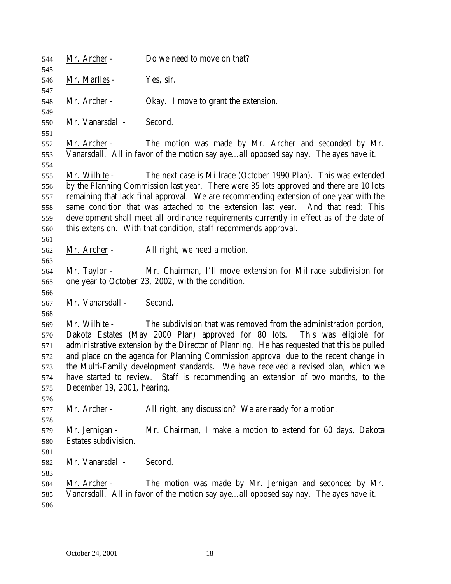| 544<br>545                                           | Mr. Archer -                                 | Do we need to move on that?                                                                                                                                                                                                                                                                                                                                                                                                                                                                                    |
|------------------------------------------------------|----------------------------------------------|----------------------------------------------------------------------------------------------------------------------------------------------------------------------------------------------------------------------------------------------------------------------------------------------------------------------------------------------------------------------------------------------------------------------------------------------------------------------------------------------------------------|
| 546<br>547                                           | Mr. Marlles -                                | Yes, sir.                                                                                                                                                                                                                                                                                                                                                                                                                                                                                                      |
| 548<br>549                                           | Mr. Archer -                                 | Okay. I move to grant the extension.                                                                                                                                                                                                                                                                                                                                                                                                                                                                           |
| 550<br>551                                           | Mr. Vanarsdall -                             | Second.                                                                                                                                                                                                                                                                                                                                                                                                                                                                                                        |
| 552<br>553                                           | Mr. Archer -                                 | The motion was made by Mr. Archer and seconded by Mr.<br>Vanarsdall. All in favor of the motion say ayeall opposed say nay. The ayes have it.                                                                                                                                                                                                                                                                                                                                                                  |
| 554<br>555<br>556<br>557<br>558<br>559<br>560<br>561 | Mr. Wilhite -                                | The next case is Millrace (October 1990 Plan). This was extended<br>by the Planning Commission last year. There were 35 lots approved and there are 10 lots<br>remaining that lack final approval. We are recommending extension of one year with the<br>same condition that was attached to the extension last year. And that read: This<br>development shall meet all ordinance requirements currently in effect as of the date of<br>this extension. With that condition, staff recommends approval.        |
| 562<br>563                                           | Mr. Archer -                                 | All right, we need a motion.                                                                                                                                                                                                                                                                                                                                                                                                                                                                                   |
| 564<br>565<br>566                                    | Mr. Taylor -                                 | Mr. Chairman, I'll move extension for Millrace subdivision for<br>one year to October 23, 2002, with the condition.                                                                                                                                                                                                                                                                                                                                                                                            |
| 567<br>568                                           | Mr. Vanarsdall -                             | Second.                                                                                                                                                                                                                                                                                                                                                                                                                                                                                                        |
| 569<br>570<br>571<br>572<br>573<br>574<br>575<br>576 | Mr. Wilhite -<br>December 19, 2001, hearing. | The subdivision that was removed from the administration portion,<br>Dakota Estates (May 2000 Plan) approved for 80 lots. This was eligible for<br>administrative extension by the Director of Planning. He has requested that this be pulled<br>and place on the agenda for Planning Commission approval due to the recent change in<br>the Multi-Family development standards. We have received a revised plan, which we<br>have started to review. Staff is recommending an extension of two months, to the |
| 577<br>578                                           | Mr. Archer -                                 | All right, any discussion? We are ready for a motion.                                                                                                                                                                                                                                                                                                                                                                                                                                                          |
| 579<br>580                                           | Mr. Jernigan -<br>Estates subdivision.       | Mr. Chairman, I make a motion to extend for 60 days, Dakota                                                                                                                                                                                                                                                                                                                                                                                                                                                    |
| 581<br>582                                           | Mr. Vanarsdall -                             | Second.                                                                                                                                                                                                                                                                                                                                                                                                                                                                                                        |
| 583<br>584<br>585<br>586                             | Mr. Archer -                                 | The motion was made by Mr. Jernigan and seconded by Mr.<br>Vanarsdall. All in favor of the motion say ayeall opposed say nay. The ayes have it.                                                                                                                                                                                                                                                                                                                                                                |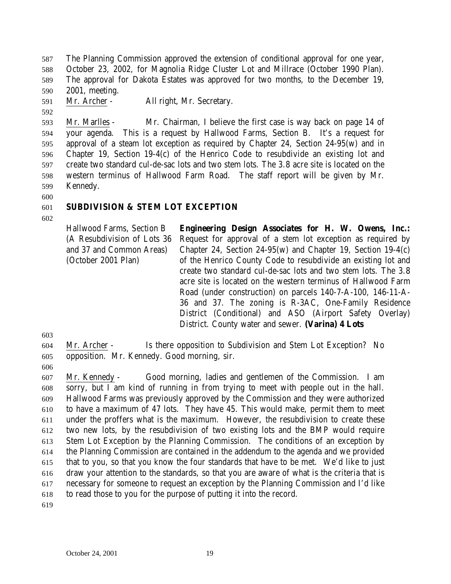The Planning Commission approved the extension of conditional approval for one year, October 23, 2002, for Magnolia Ridge Cluster Lot and Millrace (October 1990 Plan). The approval for Dakota Estates was approved for two months, to the December 19, 2001, meeting.

Mr. Archer - All right, Mr. Secretary.

- Mr. Marlles Mr. Chairman, I believe the first case is way back on page 14 of your agenda. This is a request by Hallwood Farms, Section B. It's a request for approval of a steam lot exception as required by Chapter 24, Section 24-95(w) and in Chapter 19, Section 19-4(c) of the Henrico Code to resubdivide an existing lot and create two standard cul-de-sac lots and two stem lots. The 3.8 acre site is located on the western terminus of Hallwood Farm Road. The staff report will be given by Mr. Kennedy.
- 

## **SUBDIVISION & STEM LOT EXCEPTION**

Hallwood Farms, Section B (A Resubdivision of Lots 36 and 37 and Common Areas) (October 2001 Plan) **Engineering Design Associates for H. W. Owens, Inc.:** Request for approval of a stem lot exception as required by Chapter 24, Section 24-95(w) and Chapter 19, Section 19-4(c) of the Henrico County Code to resubdivide an existing lot and create two standard cul-de-sac lots and two stem lots. The 3.8 acre site is located on the western terminus of Hallwood Farm Road (under construction) on parcels 140-7-A-100, 146-11-A-36 and 37. The zoning is R-3AC, One-Family Residence District (Conditional) and ASO (Airport Safety Overlay) District. County water and sewer. **(Varina) 4 Lots**

Mr. Archer - Is there opposition to Subdivision and Stem Lot Exception? No

- opposition. Mr. Kennedy. Good morning, sir.
- 

 Mr. Kennedy - Good morning, ladies and gentlemen of the Commission. I am sorry, but I am kind of running in from trying to meet with people out in the hall. Hallwood Farms was previously approved by the Commission and they were authorized to have a maximum of 47 lots. They have 45. This would make, permit them to meet under the proffers what is the maximum. However, the resubdivision to create these two new lots, by the resubdivision of two existing lots and the BMP would require Stem Lot Exception by the Planning Commission. The conditions of an exception by the Planning Commission are contained in the addendum to the agenda and we provided that to you, so that you know the four standards that have to be met. We'd like to just draw your attention to the standards, so that you are aware of what is the criteria that is necessary for someone to request an exception by the Planning Commission and I'd like to read those to you for the purpose of putting it into the record.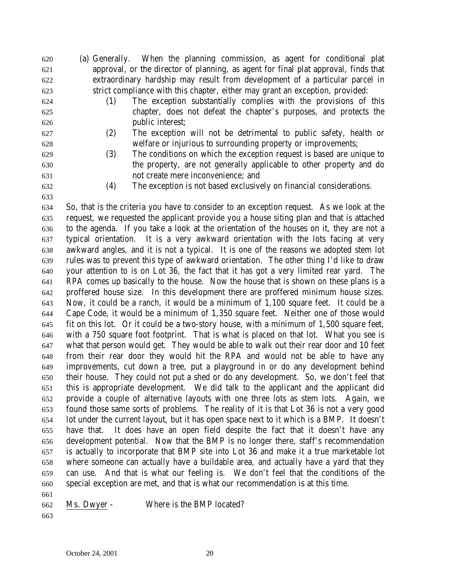- (a) Generally. When the planning commission, as agent for conditional plat approval, or the director of planning, as agent for final plat approval, finds that extraordinary hardship may result from development of a particular parcel in strict compliance with this chapter, either may grant an exception, provided:
- (1) The exception substantially complies with the provisions of this chapter, does not defeat the chapter's purposes, and protects the
- 
- 
- public interest; (2) The exception will not be detrimental to public safety, health or
- welfare or injurious to surrounding property or improvements;
- (3) The conditions on which the exception request is based are unique to the property, are not generally applicable to other property and do not create mere inconvenience; and
- 

(4) The exception is not based exclusively on financial considerations.

 So, that is the criteria you have to consider to an exception request. As we look at the request, we requested the applicant provide you a house siting plan and that is attached to the agenda. If you take a look at the orientation of the houses on it, they are not a typical orientation. It is a very awkward orientation with the lots facing at very awkward angles, and it is not a typical. It is one of the reasons we adopted stem lot rules was to prevent this type of awkward orientation. The other thing I'd like to draw your attention to is on Lot 36, the fact that it has got a very limited rear yard. The RPA comes up basically to the house. Now the house that is shown on these plans is a proffered house size. In this development there are proffered minimum house sizes. Now, it could be a ranch, it would be a minimum of 1,100 square feet. It could be a Cape Code, it would be a minimum of 1,350 square feet. Neither one of those would fit on this lot. Or it could be a two-story house, with a minimum of 1,500 square feet, with a 750 square foot footprint. That is what is placed on that lot. What you see is what that person would get. They would be able to walk out their rear door and 10 feet from their rear door they would hit the RPA and would not be able to have any improvements, cut down a tree, put a playground in or do any development behind their house. They could not put a shed or do any development. So, we don't feel that this is appropriate development. We did talk to the applicant and the applicant did provide a couple of alternative layouts with one three lots as stem lots. Again, we found those same sorts of problems. The reality of it is that Lot 36 is not a very good lot under the current layout, but it has open space next to it which is a BMP. It doesn't have that. It does have an open field despite the fact that it doesn't have any development potential. Now that the BMP is no longer there, staff's recommendation is actually to incorporate that BMP site into Lot 36 and make it a true marketable lot where someone can actually have a buildable area, and actually have a yard that they can use. And that is what our feeling is. We don't feel that the conditions of the special exception are met, and that is what our recommendation is at this time.

| Ms. Dwyer -<br>662 |  | Where is the BMP located? |  |  |  |
|--------------------|--|---------------------------|--|--|--|
|--------------------|--|---------------------------|--|--|--|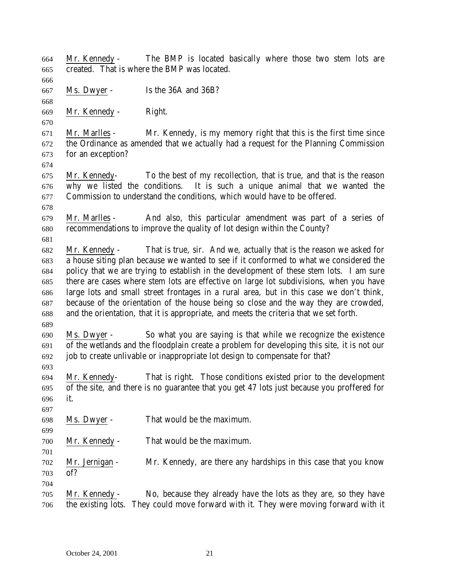| 664 | Mr. Kennedy -      | The BMP is located basically where those two stem lots are                                  |
|-----|--------------------|---------------------------------------------------------------------------------------------|
| 665 |                    | created. That is where the BMP was located.                                                 |
| 666 |                    |                                                                                             |
| 667 | Ms. Dwyer -        | Is the 36A and 36B?                                                                         |
| 668 |                    |                                                                                             |
| 669 | Mr. Kennedy -      | Right.                                                                                      |
| 670 |                    |                                                                                             |
| 671 | Mr. Marlles -      | Mr. Kennedy, is my memory right that this is the first time since                           |
| 672 |                    | the Ordinance as amended that we actually had a request for the Planning Commission         |
| 673 | for an exception?  |                                                                                             |
| 674 |                    |                                                                                             |
| 675 |                    | Mr. Kennedy- To the best of my recollection, that is true, and that is the reason           |
| 676 |                    | why we listed the conditions. It is such a unique animal that we wanted the                 |
| 677 |                    | Commission to understand the conditions, which would have to be offered.                    |
| 678 |                    |                                                                                             |
| 679 | Mr. Marlles -      | And also, this particular amendment was part of a series of                                 |
| 680 |                    | recommendations to improve the quality of lot design within the County?                     |
| 681 |                    |                                                                                             |
| 682 | Mr. Kennedy -      | That is true, sir. And we, actually that is the reason we asked for                         |
| 683 |                    | a house siting plan because we wanted to see if it conformed to what we considered the      |
| 684 |                    | policy that we are trying to establish in the development of these stem lots. I am sure     |
| 685 |                    | there are cases where stem lots are effective on large lot subdivisions, when you have      |
| 686 |                    | large lots and small street frontages in a rural area, but in this case we don't think,     |
| 687 |                    | because of the orientation of the house being so close and the way they are crowded,        |
| 688 |                    | and the orientation, that it is appropriate, and meets the criteria that we set forth.      |
| 689 |                    |                                                                                             |
| 690 | Ms. Dwyer -        | So what you are saying is that while we recognize the existence                             |
| 691 |                    | of the wetlands and the floodplain create a problem for developing this site, it is not our |
| 692 |                    | job to create unlivable or inappropriate lot design to compensate for that?                 |
| 693 |                    |                                                                                             |
| 694 | Mr. Kennedy-       | That is right. Those conditions existed prior to the development                            |
| 695 |                    | of the site, and there is no guarantee that you get 47 lots just because you proffered for  |
| 696 | it.                |                                                                                             |
| 697 |                    |                                                                                             |
| 698 | Ms. Dwyer -        | That would be the maximum.                                                                  |
| 699 |                    |                                                                                             |
| 700 | Mr. Kennedy -      | That would be the maximum.                                                                  |
| 701 |                    |                                                                                             |
| 702 | Mr. Jernigan -     | Mr. Kennedy, are there any hardships in this case that you know                             |
| 703 | of?                |                                                                                             |
| 704 |                    |                                                                                             |
| 705 | Mr. Kennedy -      | No, because they already have the lots as they are, so they have                            |
| 706 | the existing lots. | They could move forward with it. They were moving forward with it                           |
|     |                    |                                                                                             |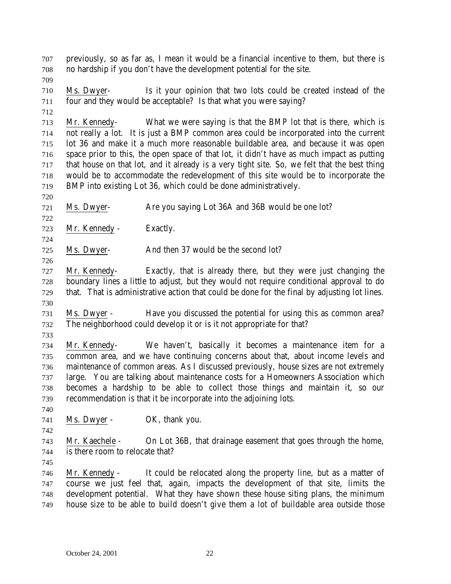previously, so as far as, I mean it would be a financial incentive to them, but there is no hardship if you don't have the development potential for the site.

 Ms. Dwyer- Is it your opinion that two lots could be created instead of the four and they would be acceptable? Is that what you were saying?

 Mr. Kennedy- What we were saying is that the BMP lot that is there, which is not really a lot. It is just a BMP common area could be incorporated into the current lot 36 and make it a much more reasonable buildable area, and because it was open space prior to this, the open space of that lot, it didn't have as much impact as putting that house on that lot, and it already is a very tight site. So, we felt that the best thing would be to accommodate the redevelopment of this site would be to incorporate the BMP into existing Lot 36, which could be done administratively.

Ms. Dwyer- Are you saying Lot 36A and 36B would be one lot?

Mr. Kennedy - Exactly.

Ms. Dwyer- And then 37 would be the second lot?

 Mr. Kennedy- Exactly, that is already there, but they were just changing the boundary lines a little to adjust, but they would not require conditional approval to do that. That is administrative action that could be done for the final by adjusting lot lines. 

 Ms. Dwyer - Have you discussed the potential for using this as common area? The neighborhood could develop it or is it not appropriate for that?

 Mr. Kennedy- We haven't, basically it becomes a maintenance item for a common area, and we have continuing concerns about that, about income levels and maintenance of common areas. As I discussed previously, house sizes are not extremely large. You are talking about maintenance costs for a Homeowners Association which becomes a hardship to be able to collect those things and maintain it, so our recommendation is that it be incorporate into the adjoining lots.

741 Ms. Dwyer - OK, thank you.

 Mr. Kaechele - On Lot 36B, that drainage easement that goes through the home,

is there room to relocate that?

 Mr. Kennedy - It could be relocated along the property line, but as a matter of course we just feel that, again, impacts the development of that site, limits the development potential. What they have shown these house siting plans, the minimum house size to be able to build doesn't give them a lot of buildable area outside those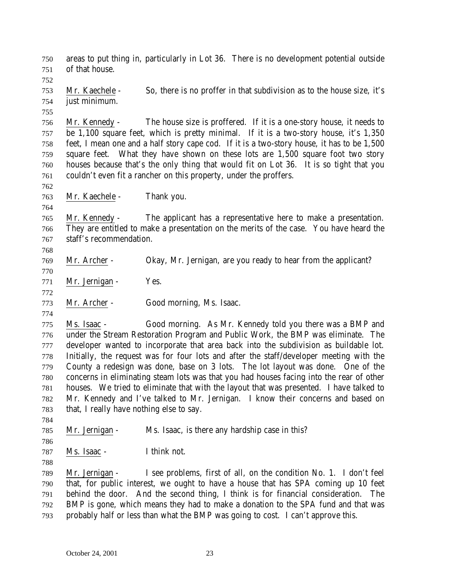areas to put thing in, particularly in Lot 36. There is no development potential outside of that house. Mr. Kaechele - So, there is no proffer in that subdivision as to the house size, it's just minimum. Mr. Kennedy - The house size is proffered. If it is a one-story house, it needs to be 1,100 square feet, which is pretty minimal. If it is a two-story house, it's 1,350 feet, I mean one and a half story cape cod. If it is a two-story house, it has to be 1,500 square feet. What they have shown on these lots are 1,500 square foot two story houses because that's the only thing that would fit on Lot 36. It is so tight that you couldn't even fit a rancher on this property, under the proffers. Mr. Kaechele - Thank you. Mr. Kennedy - The applicant has a representative here to make a presentation. They are entitled to make a presentation on the merits of the case. You have heard the staff's recommendation. Mr. Archer - Okay, Mr. Jernigan, are you ready to hear from the applicant? Mr. Jernigan - Yes. Mr. Archer - Good morning, Ms. Isaac. Ms. Isaac - Good morning. As Mr. Kennedy told you there was a BMP and under the Stream Restoration Program and Public Work, the BMP was eliminate. The developer wanted to incorporate that area back into the subdivision as buildable lot. Initially, the request was for four lots and after the staff/developer meeting with the County a redesign was done, base on 3 lots. The lot layout was done. One of the concerns in eliminating steam lots was that you had houses facing into the rear of other houses. We tried to eliminate that with the layout that was presented. I have talked to Mr. Kennedy and I've talked to Mr. Jernigan. I know their concerns and based on that, I really have nothing else to say.

785 Mr. Jernigan - Ms. Isaac, is there any hardship case in this?

Ms. Isaac - I think not.

 Mr. Jernigan - I see problems, first of all, on the condition No. 1. I don't feel that, for public interest, we ought to have a house that has SPA coming up 10 feet behind the door. And the second thing, I think is for financial consideration. The BMP is gone, which means they had to make a donation to the SPA fund and that was probably half or less than what the BMP was going to cost. I can't approve this.

October 24, 2001 23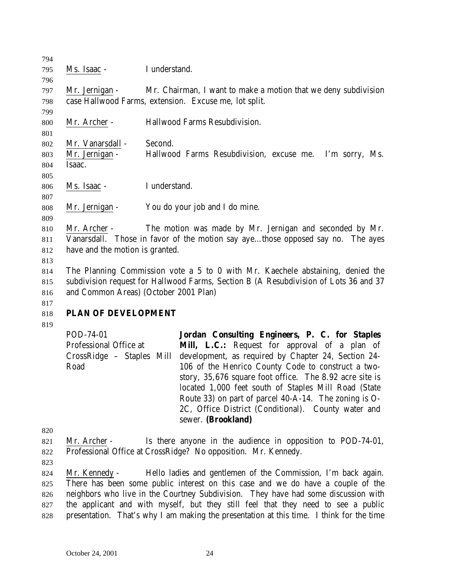| 794 |                                       |                                                                                      |
|-----|---------------------------------------|--------------------------------------------------------------------------------------|
| 795 | Ms. Isaac -                           | I understand.                                                                        |
| 796 |                                       |                                                                                      |
| 797 | Mr. Jernigan -                        | Mr. Chairman, I want to make a motion that we deny subdivision                       |
| 798 |                                       | case Hallwood Farms, extension. Excuse me, lot split.                                |
| 799 |                                       |                                                                                      |
| 800 | Mr. Archer -                          | Hallwood Farms Resubdivision.                                                        |
| 801 |                                       |                                                                                      |
| 802 | Mr. Vanarsdall -                      | Second.                                                                              |
| 803 | Mr. Jernigan -                        | Hallwood Farms Resubdivision, excuse me.<br>I'm sorry, Ms.                           |
| 804 | Isaac.                                |                                                                                      |
| 805 |                                       |                                                                                      |
| 806 | Ms. Isaac -                           | I understand.                                                                        |
| 807 |                                       |                                                                                      |
| 808 | Mr. Jernigan -                        | You do your job and I do mine.                                                       |
| 809 |                                       |                                                                                      |
| 810 | Mr. Archer -                          | The motion was made by Mr. Jernigan and seconded by Mr.                              |
| 811 |                                       | Vanarsdall. Those in favor of the motion say ayethose opposed say no. The ayes       |
| 812 | have and the motion is granted.       |                                                                                      |
| 813 |                                       |                                                                                      |
| 814 |                                       | The Planning Commission vote a 5 to 0 with Mr. Kaechele abstaining, denied the       |
| 815 |                                       | subdivision request for Hallwood Farms, Section B (A Resubdivision of Lots 36 and 37 |
| 816 | and Common Areas) (October 2001 Plan) |                                                                                      |

# 

## **PLAN OF DEVELOPMENT**

| POD-74-01                 | Jordan Consulting Engineers, P. C. for Staples          |
|---------------------------|---------------------------------------------------------|
| Professional Office at    | <b>Mill, L.C.:</b> Request for approval of a plan of    |
| CrossRidge – Staples Mill | development, as required by Chapter 24, Section 24-     |
| Road                      | 106 of the Henrico County Code to construct a two-      |
|                           | story, 35,676 square foot office. The 8.92 acre site is |
|                           | located 1,000 feet south of Staples Mill Road (State    |
|                           | Route 33) on part of parcel 40-A-14. The zoning is O-   |
|                           | 2C, Office District (Conditional). County water and     |
|                           | sewer. (Brookland)                                      |

- Mr. Archer Is there anyone in the audience in opposition to POD-74-01, Professional Office at CrossRidge? No opposition. Mr. Kennedy.
- 

 Mr. Kennedy - Hello ladies and gentlemen of the Commission, I'm back again. There has been some public interest on this case and we do have a couple of the neighbors who live in the Courtney Subdivision. They have had some discussion with the applicant and with myself, but they still feel that they need to see a public presentation. That's why I am making the presentation at this time. I think for the time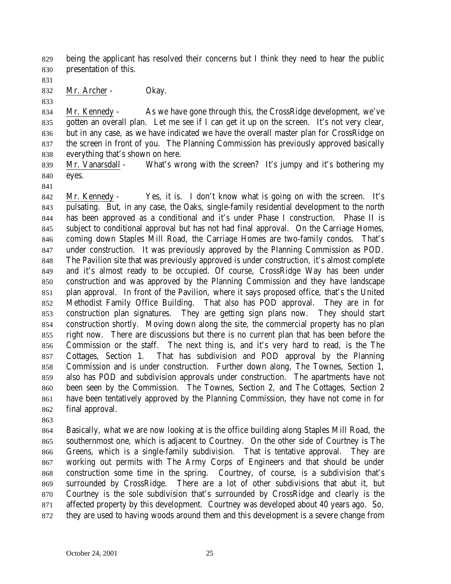being the applicant has resolved their concerns but I think they need to hear the public presentation of this.

832 Mr. Archer - Okay.

 Mr. Kennedy - As we have gone through this, the CrossRidge development, we've gotten an overall plan. Let me see if I can get it up on the screen. It's not very clear, but in any case, as we have indicated we have the overall master plan for CrossRidge on the screen in front of you. The Planning Commission has previously approved basically everything that's shown on here.

 Mr. Vanarsdall - What's wrong with the screen? It's jumpy and it's bothering my eyes.

 Mr. Kennedy - Yes, it is. I don't know what is going on with the screen. It's pulsating. But, in any case, the Oaks, single-family residential development to the north has been approved as a conditional and it's under Phase I construction. Phase II is subject to conditional approval but has not had final approval. On the Carriage Homes, coming down Staples Mill Road, the Carriage Homes are two-family condos. That's under construction. It was previously approved by the Planning Commission as POD. The Pavilion site that was previously approved is under construction, it's almost complete and it's almost ready to be occupied. Of course, CrossRidge Way has been under construction and was approved by the Planning Commission and they have landscape plan approval. In front of the Pavilion, where it says proposed office, that's the United Methodist Family Office Building. That also has POD approval. They are in for construction plan signatures. They are getting sign plans now. They should start construction shortly. Moving down along the site, the commercial property has no plan right now. There are discussions but there is no current plan that has been before the Commission or the staff. The next thing is, and it's very hard to read, is the The Cottages, Section 1. That has subdivision and POD approval by the Planning Commission and is under construction. Further down along, The Townes, Section 1, also has POD and subdivision approvals under construction. The apartments have not been seen by the Commission. The Townes, Section 2, and The Cottages, Section 2 have been tentatively approved by the Planning Commission, they have not come in for final approval.

 Basically, what we are now looking at is the office building along Staples Mill Road, the southernmost one, which is adjacent to Courtney. On the other side of Courtney is The Greens, which is a single-family subdivision. That is tentative approval. They are working out permits with The Army Corps of Engineers and that should be under construction some time in the spring. Courtney, of course, is a subdivision that's surrounded by CrossRidge. There are a lot of other subdivisions that abut it, but Courtney is the sole subdivision that's surrounded by CrossRidge and clearly is the affected property by this development. Courtney was developed about 40 years ago. So, they are used to having woods around them and this development is a severe change from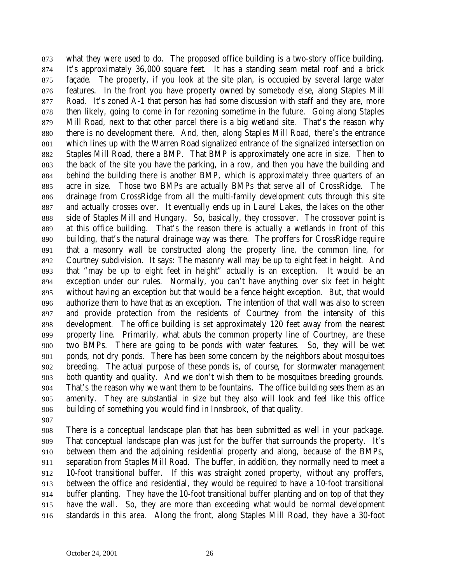what they were used to do. The proposed office building is a two-story office building. It's approximately 36,000 square feet. It has a standing seam metal roof and a brick façade. The property, if you look at the site plan, is occupied by several large water features. In the front you have property owned by somebody else, along Staples Mill Road. It's zoned A-1 that person has had some discussion with staff and they are, more then likely, going to come in for rezoning sometime in the future. Going along Staples Mill Road, next to that other parcel there is a big wetland site. That's the reason why there is no development there. And, then, along Staples Mill Road, there's the entrance which lines up with the Warren Road signalized entrance of the signalized intersection on Staples Mill Road, there a BMP. That BMP is approximately one acre in size. Then to the back of the site you have the parking, in a row, and then you have the building and behind the building there is another BMP, which is approximately three quarters of an acre in size. Those two BMPs are actually BMPs that serve all of CrossRidge. The drainage from CrossRidge from all the multi-family development cuts through this site and actually crosses over. It eventually ends up in Laurel Lakes, the lakes on the other side of Staples Mill and Hungary. So, basically, they crossover. The crossover point is at this office building. That's the reason there is actually a wetlands in front of this building, that's the natural drainage way was there. The proffers for CrossRidge require that a masonry wall be constructed along the property line, the common line, for Courtney subdivision. It says: The masonry wall may be up to eight feet in height. And that "may be up to eight feet in height" actually is an exception. It would be an exception under our rules. Normally, you can't have anything over six feet in height without having an exception but that would be a fence height exception. But, that would authorize them to have that as an exception. The intention of that wall was also to screen and provide protection from the residents of Courtney from the intensity of this development. The office building is set approximately 120 feet away from the nearest property line. Primarily, what abuts the common property line of Courtney, are these two BMPs. There are going to be ponds with water features. So, they will be wet ponds, not dry ponds. There has been some concern by the neighbors about mosquitoes breeding. The actual purpose of these ponds is, of course, for stormwater management both quantity and quality. And we don't wish them to be mosquitoes breeding grounds. That's the reason why we want them to be fountains. The office building sees them as an amenity. They are substantial in size but they also will look and feel like this office building of something you would find in Innsbrook, of that quality.

 There is a conceptual landscape plan that has been submitted as well in your package. That conceptual landscape plan was just for the buffer that surrounds the property. It's between them and the adjoining residential property and along, because of the BMPs, separation from Staples Mill Road. The buffer, in addition, they normally need to meet a 10-foot transitional buffer. If this was straight zoned property, without any proffers, between the office and residential, they would be required to have a 10-foot transitional buffer planting. They have the 10-foot transitional buffer planting and on top of that they have the wall. So, they are more than exceeding what would be normal development standards in this area. Along the front, along Staples Mill Road, they have a 30-foot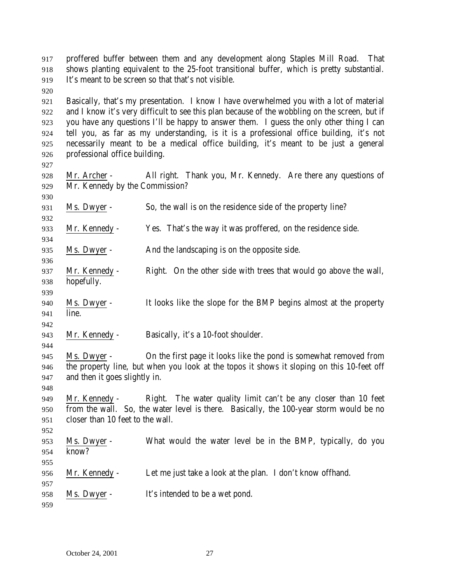proffered buffer between them and any development along Staples Mill Road. That shows planting equivalent to the 25-foot transitional buffer, which is pretty substantial. It's meant to be screen so that that's not visible.

 Basically, that's my presentation. I know I have overwhelmed you with a lot of material and I know it's very difficult to see this plan because of the wobbling on the screen, but if you have any questions I'll be happy to answer them. I guess the only other thing I can tell you, as far as my understanding, is it is a professional office building, it's not necessarily meant to be a medical office building, it's meant to be just a general professional office building.

- 928 Mr. Archer All right. Thank you, Mr. Kennedy. Are there any questions of Mr. Kennedy by the Commission?
- Ms. Dwyer So, the wall is on the residence side of the property line?
- Mr. Kennedy Yes. That's the way it was proffered, on the residence side.

Ms. Dwyer - And the landscaping is on the opposite side.

- Mr. Kennedy Right. On the other side with trees that would go above the wall, hopefully.
- Ms. Dwyer - It looks like the slope for the BMP begins almost at the property line.
- Mr. Kennedy Basically, it's a 10-foot shoulder.
- Ms. Dwyer On the first page it looks like the pond is somewhat removed from the property line, but when you look at the topos it shows it sloping on this 10-feet off and then it goes slightly in.
- Mr. Kennedy Right. The water quality limit can't be any closer than 10 feet from the wall. So, the water level is there. Basically, the 100-year storm would be no closer than 10 feet to the wall.
- Ms. Dwyer What would the water level be in the BMP, typically, do you know?
- Mr. Kennedy Let me just take a look at the plan. I don't know offhand.
- Ms. Dwyer It's intended to be a wet pond.
-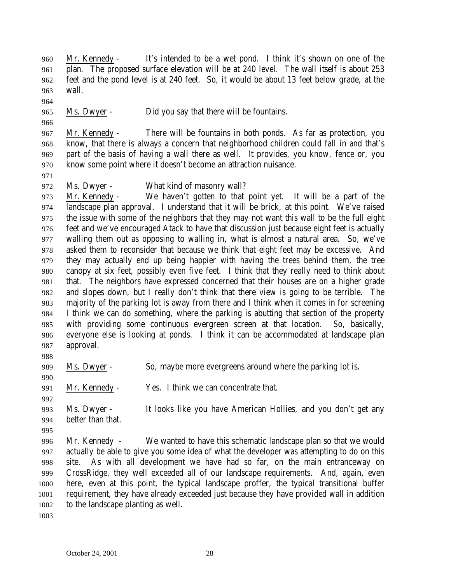Mr. Kennedy - It's intended to be a wet pond. I think it's shown on one of the plan. The proposed surface elevation will be at 240 level. The wall itself is about 253 feet and the pond level is at 240 feet. So, it would be about 13 feet below grade, at the wall.

Ms. Dwyer - Did you say that there will be fountains.

 Mr. Kennedy - There will be fountains in both ponds. As far as protection, you know, that there is always a concern that neighborhood children could fall in and that's part of the basis of having a wall there as well. It provides, you know, fence or, you know some point where it doesn't become an attraction nuisance.

- 
- Ms. Dwyer What kind of masonry wall?

 Mr. Kennedy - We haven't gotten to that point yet. It will be a part of the landscape plan approval. I understand that it will be brick, at this point. We've raised the issue with some of the neighbors that they may not want this wall to be the full eight feet and we've encouraged Atack to have that discussion just because eight feet is actually walling them out as opposing to walling in, what is almost a natural area. So, we've asked them to reconsider that because we think that eight feet may be excessive. And they may actually end up being happier with having the trees behind them, the tree canopy at six feet, possibly even five feet. I think that they really need to think about that. The neighbors have expressed concerned that their houses are on a higher grade and slopes down, but I really don't think that there view is going to be terrible. The majority of the parking lot is away from there and I think when it comes in for screening I think we can do something, where the parking is abutting that section of the property with providing some continuous evergreen screen at that location. So, basically, everyone else is looking at ponds. I think it can be accommodated at landscape plan approval.

Ms. Dwyer - So, maybe more evergreens around where the parking lot is.

Mr. Kennedy - Yes. I think we can concentrate that.

 Ms. Dwyer - It looks like you have American Hollies, and you don't get any better than that.

 Mr. Kennedy - We wanted to have this schematic landscape plan so that we would actually be able to give you some idea of what the developer was attempting to do on this site. As with all development we have had so far, on the main entranceway on CrossRidge, they well exceeded all of our landscape requirements. And, again, even here, even at this point, the typical landscape proffer, the typical transitional buffer requirement, they have already exceeded just because they have provided wall in addition to the landscape planting as well.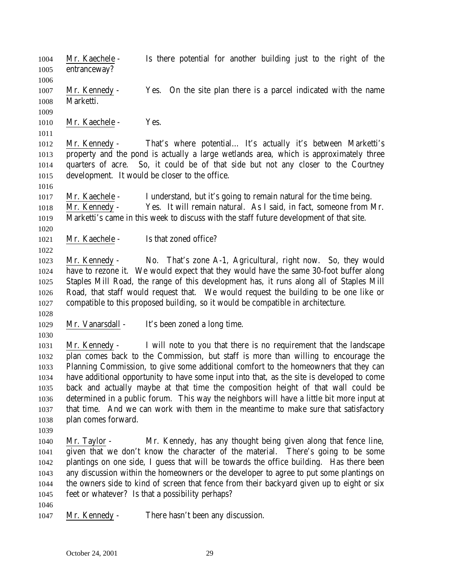Mr. Kaechele - Is there potential for another building just to the right of the entranceway?

 Mr. Kennedy - Yes. On the site plan there is a parcel indicated with the name Marketti.

1010 Mr. Kaechele - Yes.

 Mr. Kennedy - That's where potential… It's actually it's between Marketti's property and the pond is actually a large wetlands area, which is approximately three quarters of acre. So, it could be of that side but not any closer to the Courtney development. It would be closer to the office.

 Mr. Kaechele - I understand, but it's going to remain natural for the time being. Mr. Kennedy - Yes. It will remain natural. As I said, in fact, someone from Mr. Marketti's came in this week to discuss with the staff future development of that site.

1021 Mr. Kaechele - Is that zoned office?

 Mr. Kennedy - No. That's zone A-1, Agricultural, right now. So, they would have to rezone it. We would expect that they would have the same 30-foot buffer along Staples Mill Road, the range of this development has, it runs along all of Staples Mill Road, that staff would request that. We would request the building to be one like or compatible to this proposed building, so it would be compatible in architecture.

- Mr. Vanarsdall It's been zoned a long time.
- 

 Mr. Kennedy - I will note to you that there is no requirement that the landscape plan comes back to the Commission, but staff is more than willing to encourage the Planning Commission, to give some additional comfort to the homeowners that they can have additional opportunity to have some input into that, as the site is developed to come back and actually maybe at that time the composition height of that wall could be determined in a public forum. This way the neighbors will have a little bit more input at that time. And we can work with them in the meantime to make sure that satisfactory plan comes forward.

 Mr. Taylor - Mr. Kennedy, has any thought being given along that fence line, given that we don't know the character of the material. There's going to be some plantings on one side, I guess that will be towards the office building. Has there been any discussion within the homeowners or the developer to agree to put some plantings on the owners side to kind of screen that fence from their backyard given up to eight or six feet or whatever? Is that a possibility perhaps?

- 
- Mr. Kennedy There hasn't been any discussion.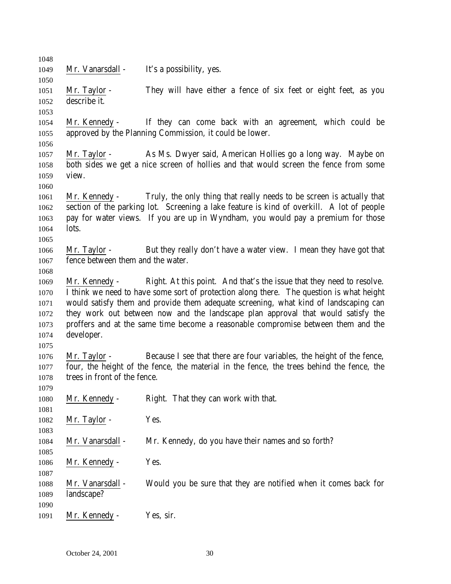| 1048 |                                   |                                                                                           |
|------|-----------------------------------|-------------------------------------------------------------------------------------------|
| 1049 | Mr. Vanarsdall -                  | It's a possibility, yes.                                                                  |
| 1050 |                                   |                                                                                           |
| 1051 | Mr. Taylor -                      | They will have either a fence of six feet or eight feet, as you                           |
| 1052 | describe it.                      |                                                                                           |
| 1053 |                                   |                                                                                           |
| 1054 |                                   | Mr. Kennedy - If they can come back with an agreement, which could be                     |
| 1055 |                                   | approved by the Planning Commission, it could be lower.                                   |
| 1056 |                                   |                                                                                           |
| 1057 | Mr. Taylor -                      | As Ms. Dwyer said, American Hollies go a long way. Maybe on                               |
| 1058 |                                   | both sides we get a nice screen of hollies and that would screen the fence from some      |
| 1059 | view.                             |                                                                                           |
| 1060 |                                   |                                                                                           |
| 1061 | Mr. Kennedy -                     | Truly, the only thing that really needs to be screen is actually that                     |
| 1062 |                                   | section of the parking lot. Screening a lake feature is kind of overkill. A lot of people |
| 1063 |                                   | pay for water views. If you are up in Wyndham, you would pay a premium for those          |
| 1064 | lots.                             |                                                                                           |
| 1065 |                                   |                                                                                           |
| 1066 | Mr. Taylor -                      | But they really don't have a water view. I mean they have got that                        |
| 1067 | fence between them and the water. |                                                                                           |
| 1068 |                                   |                                                                                           |
| 1069 | Mr. Kennedy -                     | Right. At this point. And that's the issue that they need to resolve.                     |
| 1070 |                                   | I think we need to have some sort of protection along there. The question is what height  |
| 1071 |                                   | would satisfy them and provide them adequate screening, what kind of landscaping can      |
| 1072 |                                   | they work out between now and the landscape plan approval that would satisfy the          |
| 1073 |                                   | proffers and at the same time become a reasonable compromise between them and the         |
| 1074 | developer.                        |                                                                                           |
| 1075 |                                   |                                                                                           |
| 1076 | Mr. Taylor -                      | Because I see that there are four variables, the height of the fence,                     |
| 1077 |                                   | four, the height of the fence, the material in the fence, the trees behind the fence, the |
| 1078 | trees in front of the fence.      |                                                                                           |
| 1079 |                                   |                                                                                           |
| 1080 | Mr. Kennedy -                     | Right. That they can work with that.                                                      |
| 1081 |                                   |                                                                                           |
| 1082 | Mr. Taylor -                      | Yes.                                                                                      |
| 1083 |                                   |                                                                                           |
| 1084 | Mr. Vanarsdall -                  | Mr. Kennedy, do you have their names and so forth?                                        |
| 1085 |                                   |                                                                                           |
| 1086 | Mr. Kennedy -                     | Yes.                                                                                      |
| 1087 |                                   |                                                                                           |
| 1088 | Mr. Vanarsdall -                  | Would you be sure that they are notified when it comes back for                           |
| 1089 | landscape?                        |                                                                                           |
| 1090 |                                   |                                                                                           |
| 1091 | Mr. Kennedy -                     | Yes, sir.                                                                                 |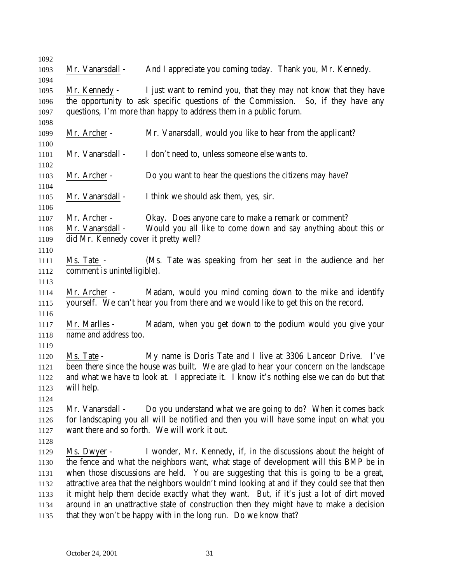| 1092         |                                       |                                                                                             |
|--------------|---------------------------------------|---------------------------------------------------------------------------------------------|
| 1093         | Mr. Vanarsdall -                      | And I appreciate you coming today. Thank you, Mr. Kennedy.                                  |
| 1094         |                                       |                                                                                             |
| 1095         |                                       | Mr. Kennedy - I just want to remind you, that they may not know that they have              |
| 1096         |                                       | the opportunity to ask specific questions of the Commission. So, if they have any           |
| 1097         |                                       | questions, I'm more than happy to address them in a public forum.                           |
| 1098         |                                       |                                                                                             |
| 1099         | Mr. Archer -                          | Mr. Vanarsdall, would you like to hear from the applicant?                                  |
| 1100         |                                       |                                                                                             |
| 1101         | Mr. Vanarsdall -                      | I don't need to, unless someone else wants to.                                              |
| 1102         |                                       |                                                                                             |
| 1103         | Mr. Archer -                          | Do you want to hear the questions the citizens may have?                                    |
| 1104         |                                       |                                                                                             |
| 1105         | Mr. Vanarsdall -                      | I think we should ask them, yes, sir.                                                       |
| 1106         |                                       |                                                                                             |
| 1107         | Mr. Archer -<br>Mr. Vanarsdall -      | Okay. Does anyone care to make a remark or comment?                                         |
| 1108         | did Mr. Kennedy cover it pretty well? | Would you all like to come down and say anything about this or                              |
| 1109         |                                       |                                                                                             |
| 1110<br>1111 | Ms. Tate -                            | (Ms. Tate was speaking from her seat in the audience and her                                |
| 1112         | comment is unintelligible).           |                                                                                             |
| 1113         |                                       |                                                                                             |
| 1114         |                                       | Mr. Archer - Madam, would you mind coming down to the mike and identify                     |
| 1115         |                                       | yourself. We can't hear you from there and we would like to get this on the record.         |
| 1116         |                                       |                                                                                             |
| 1117         | Mr. Marlles -                         | Madam, when you get down to the podium would you give your                                  |
| 1118         | name and address too.                 |                                                                                             |
| 1119         |                                       |                                                                                             |
| 1120         | Ms. Tate -                            | My name is Doris Tate and I live at 3306 Lanceor Drive. I've                                |
| 1121         |                                       | been there since the house was built. We are glad to hear your concern on the landscape     |
| 1122         |                                       | and what we have to look at. I appreciate it. I know it's nothing else we can do but that   |
| 1123         | will help.                            |                                                                                             |
| 1124         |                                       |                                                                                             |
| 1125         | Mr. Vanarsdall -                      | Do you understand what we are going to do? When it comes back                               |
| 1126         |                                       | for landscaping you all will be notified and then you will have some input on what you      |
| 1127         |                                       | want there and so forth. We will work it out.                                               |
| 1128         |                                       |                                                                                             |
| 1129         | Ms. Dwyer -                           | I wonder, Mr. Kennedy, if, in the discussions about the height of                           |
| 1130         |                                       | the fence and what the neighbors want, what stage of development will this BMP be in        |
| 1131         |                                       | when those discussions are held. You are suggesting that this is going to be a great,       |
| 1132         |                                       | attractive area that the neighbors wouldn't mind looking at and if they could see that then |
| 1133         |                                       | it might help them decide exactly what they want. But, if it's just a lot of dirt moved     |
| 1134         |                                       | around in an unattractive state of construction then they might have to make a decision     |
| 1135         |                                       | that they won't be happy with in the long run. Do we know that?                             |
|              |                                       |                                                                                             |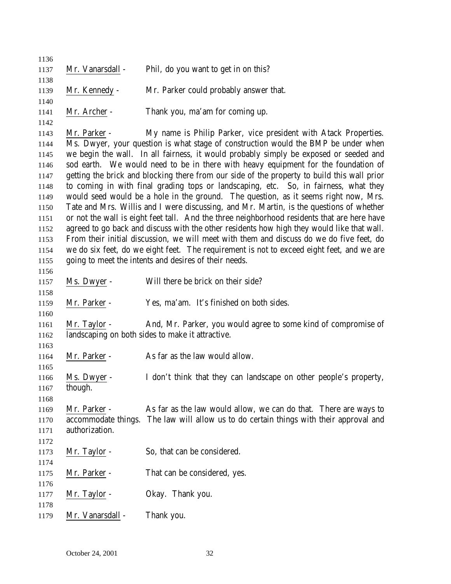| 1136         |                  |                                                                                             |
|--------------|------------------|---------------------------------------------------------------------------------------------|
| 1137         | Mr. Vanarsdall - | Phil, do you want to get in on this?                                                        |
| 1138         |                  |                                                                                             |
| 1139         | Mr. Kennedy -    | Mr. Parker could probably answer that.                                                      |
| 1140<br>1141 | Mr. Archer -     | Thank you, ma'am for coming up.                                                             |
| 1142         |                  |                                                                                             |
| 1143         | Mr. Parker -     | My name is Philip Parker, vice president with Atack Properties.                             |
| 1144         |                  | Ms. Dwyer, your question is what stage of construction would the BMP be under when          |
| 1145         |                  | we begin the wall. In all fairness, it would probably simply be exposed or seeded and       |
| 1146         |                  | sod earth. We would need to be in there with heavy equipment for the foundation of          |
| 1147         |                  | getting the brick and blocking there from our side of the property to build this wall prior |
| 1148         |                  | to coming in with final grading tops or landscaping, etc. So, in fairness, what they        |
| 1149         |                  | would seed would be a hole in the ground. The question, as it seems right now, Mrs.         |
| 1150         |                  | Tate and Mrs. Willis and I were discussing, and Mr. Martin, is the questions of whether     |
| 1151         |                  | or not the wall is eight feet tall. And the three neighborhood residents that are here have |
| 1152         |                  | agreed to go back and discuss with the other residents how high they would like that wall.  |
| 1153         |                  | From their initial discussion, we will meet with them and discuss do we do five feet, do    |
| 1154         |                  | we do six feet, do we eight feet. The requirement is not to exceed eight feet, and we are   |
| 1155         |                  | going to meet the intents and desires of their needs.                                       |
| 1156         |                  |                                                                                             |
| 1157         | Ms. Dwyer -      | Will there be brick on their side?                                                          |
| 1158<br>1159 | Mr. Parker -     | Yes, ma'am. It's finished on both sides.                                                    |
| 1160         |                  |                                                                                             |
| 1161         | Mr. Taylor -     | And, Mr. Parker, you would agree to some kind of compromise of                              |
| 1162         |                  | landscaping on both sides to make it attractive.                                            |
| 1163         |                  |                                                                                             |
| 1164         | Mr. Parker -     | As far as the law would allow.                                                              |
| 1165         |                  |                                                                                             |
| 1166         | Ms. Dwyer -      | I don't think that they can landscape on other people's property,                           |
| 1167         | though.          |                                                                                             |
| 1168         |                  |                                                                                             |
| 1169         | Mr. Parker -     | As far as the law would allow, we can do that. There are ways to                            |
| 1170         |                  | accommodate things. The law will allow us to do certain things with their approval and      |
| 1171         | authorization.   |                                                                                             |
| 1172         |                  |                                                                                             |
| 1173         | Mr. Taylor -     | So, that can be considered.                                                                 |
| 1174         |                  |                                                                                             |
| 1175         | Mr. Parker -     | That can be considered, yes.                                                                |
| 1176         |                  |                                                                                             |
| 1177         | Mr. Taylor -     | Okay. Thank you.                                                                            |
| 1178<br>1179 | Mr. Vanarsdall - | Thank you.                                                                                  |
|              |                  |                                                                                             |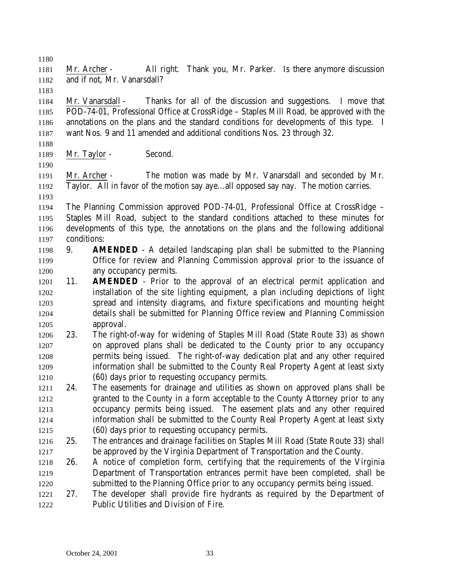Mr. Archer - All right. Thank you, Mr. Parker. Is there anymore discussion and if not, Mr. Vanarsdall?

 Mr. Vanarsdall - Thanks for all of the discussion and suggestions. I move that POD-74-01, Professional Office at CrossRidge – Staples Mill Road, be approved with the annotations on the plans and the standard conditions for developments of this type. I want Nos. 9 and 11 amended and additional conditions Nos. 23 through 32.

1189 Mr. Taylor - Second.

 Mr. Archer - The motion was made by Mr. Vanarsdall and seconded by Mr. Taylor. All in favor of the motion say aye…all opposed say nay. The motion carries.

- The Planning Commission approved POD-74-01, Professional Office at CrossRidge – Staples Mill Road, subject to the standard conditions attached to these minutes for developments of this type, the annotations on the plans and the following additional conditions:
- 9. **AMENDED** A detailed landscaping plan shall be submitted to the Planning Office for review and Planning Commission approval prior to the issuance of any occupancy permits.
- 11. **AMENDED** Prior to the approval of an electrical permit application and installation of the site lighting equipment, a plan including depictions of light spread and intensity diagrams, and fixture specifications and mounting height details shall be submitted for Planning Office review and Planning Commission approval.
- 23. The right-of-way for widening of Staples Mill Road (State Route 33) as shown on approved plans shall be dedicated to the County prior to any occupancy permits being issued. The right-of-way dedication plat and any other required information shall be submitted to the County Real Property Agent at least sixty (60) days prior to requesting occupancy permits.
- 24. The easements for drainage and utilities as shown on approved plans shall be granted to the County in a form acceptable to the County Attorney prior to any occupancy permits being issued. The easement plats and any other required information shall be submitted to the County Real Property Agent at least sixty (60) days prior to requesting occupancy permits.
- 25. The entrances and drainage facilities on Staples Mill Road (State Route 33) shall be approved by the Virginia Department of Transportation and the County.
- 26. A notice of completion form, certifying that the requirements of the Virginia Department of Transportation entrances permit have been completed, shall be submitted to the Planning Office prior to any occupancy permits being issued.
- 27. The developer shall provide fire hydrants as required by the Department of Public Utilities and Division of Fire.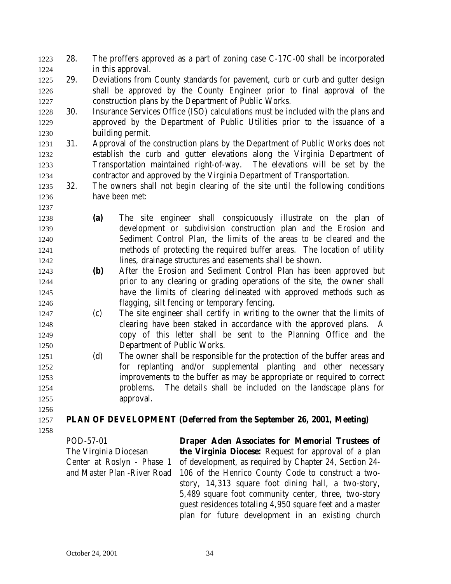- 28. The proffers approved as a part of zoning case C-17C-00 shall be incorporated in this approval.
- 29. Deviations from County standards for pavement, curb or curb and gutter design shall be approved by the County Engineer prior to final approval of the construction plans by the Department of Public Works.
- 30. Insurance Services Office (ISO) calculations must be included with the plans and approved by the Department of Public Utilities prior to the issuance of a building permit.
- 31. Approval of the construction plans by the Department of Public Works does not establish the curb and gutter elevations along the Virginia Department of Transportation maintained right-of-way. The elevations will be set by the contractor and approved by the Virginia Department of Transportation.
- 32. The owners shall not begin clearing of the site until the following conditions have been met:
- **(a)** The site engineer shall conspicuously illustrate on the plan of development or subdivision construction plan and the Erosion and Sediment Control Plan, the limits of the areas to be cleared and the methods of protecting the required buffer areas. The location of utility lines, drainage structures and easements shall be shown.
- **(b)** After the Erosion and Sediment Control Plan has been approved but prior to any clearing or grading operations of the site, the owner shall have the limits of clearing delineated with approved methods such as flagging, silt fencing or temporary fencing.
- (c) The site engineer shall certify in writing to the owner that the limits of clearing have been staked in accordance with the approved plans. A copy of this letter shall be sent to the Planning Office and the Department of Public Works.
- (d) The owner shall be responsible for the protection of the buffer areas and for replanting and/or supplemental planting and other necessary improvements to the buffer as may be appropriate or required to correct problems. The details shall be included on the landscape plans for approval.
- **PLAN OF DEVELOPMENT (Deferred from the September 26, 2001, Meeting)**
- 

POD-57-01 The Virginia Diocesan Center at Roslyn - Phase 1 and Master Plan -River Road

**Draper Aden Associates for Memorial Trustees of the Virginia Diocese:** Request for approval of a plan of development, as required by Chapter 24, Section 24- 106 of the Henrico County Code to construct a twostory, 14,313 square foot dining hall, a two-story, 5,489 square foot community center, three, two-story guest residences totaling 4,950 square feet and a master plan for future development in an existing church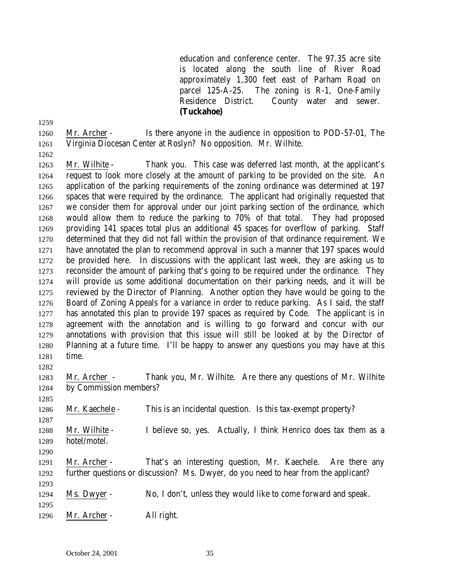education and conference center. The 97.35 acre site is located along the south line of River Road approximately 1,300 feet east of Parham Road on parcel 125-A-25. The zoning is R-1, One-Family Residence District. County water and sewer. **(Tuckahoe)**

 Mr. Archer - Is there anyone in the audience in opposition to POD-57-01, The Virginia Diocesan Center at Roslyn? No opposition. Mr. Wilhite.

 Mr. Wilhite - Thank you. This case was deferred last month, at the applicant's request to look more closely at the amount of parking to be provided on the site. An application of the parking requirements of the zoning ordinance was determined at 197 spaces that were required by the ordinance. The applicant had originally requested that we consider them for approval under our joint parking section of the ordinance, which would allow them to reduce the parking to 70% of that total. They had proposed providing 141 spaces total plus an additional 45 spaces for overflow of parking. Staff determined that they did not fall within the provision of that ordinance requirement. We have annotated the plan to recommend approval in such a manner that 197 spaces would be provided here. In discussions with the applicant last week, they are asking us to reconsider the amount of parking that's going to be required under the ordinance. They will provide us some additional documentation on their parking needs, and it will be reviewed by the Director of Planning. Another option they have would be going to the Board of Zoning Appeals for a variance in order to reduce parking. As I said, the staff has annotated this plan to provide 197 spaces as required by Code. The applicant is in

- agreement with the annotation and is willing to go forward and concur with our annotations with provision that this issue will still be looked at by the Director of Planning at a future time. I'll be happy to answer any questions you may have at this time.
- Mr. Archer Thank you, Mr. Wilhite. Are there any questions of Mr. Wilhite by Commission members?
- Mr. Kaechele This is an incidental question. Is this tax-exempt property?
- Mr. Wilhite I believe so, yes. Actually, I think Henrico does tax them as a hotel/motel.
- 

- Mr. Archer That's an interesting question, Mr. Kaechele. Are there any further questions or discussion? Ms. Dwyer, do you need to hear from the applicant?
- Ms. Dwyer No, I don't, unless they would like to come forward and speak.
- 
- Mr. Archer All right.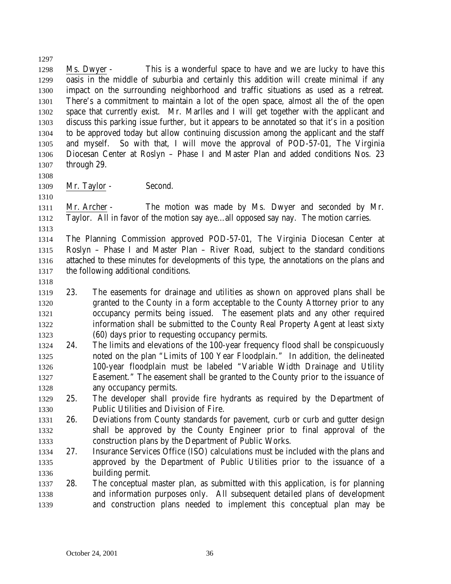Ms. Dwyer - This is a wonderful space to have and we are lucky to have this oasis in the middle of suburbia and certainly this addition will create minimal if any impact on the surrounding neighborhood and traffic situations as used as a retreat. There's a commitment to maintain a lot of the open space, almost all the of the open space that currently exist. Mr. Marlles and I will get together with the applicant and discuss this parking issue further, but it appears to be annotated so that it's in a position to be approved today but allow continuing discussion among the applicant and the staff and myself. So with that, I will move the approval of POD-57-01, The Virginia Diocesan Center at Roslyn – Phase I and Master Plan and added conditions Nos. 23 through 29.

1309 Mr. Taylor - Second.

 Mr. Archer - The motion was made by Ms. Dwyer and seconded by Mr. Taylor. All in favor of the motion say aye…all opposed say nay. The motion carries.

 The Planning Commission approved POD-57-01, The Virginia Diocesan Center at Roslyn – Phase I and Master Plan – River Road, subject to the standard conditions attached to these minutes for developments of this type, the annotations on the plans and the following additional conditions.

- 
- 23. The easements for drainage and utilities as shown on approved plans shall be granted to the County in a form acceptable to the County Attorney prior to any occupancy permits being issued. The easement plats and any other required information shall be submitted to the County Real Property Agent at least sixty (60) days prior to requesting occupancy permits.
- 24. The limits and elevations of the 100-year frequency flood shall be conspicuously noted on the plan "Limits of 100 Year Floodplain." In addition, the delineated 100-year floodplain must be labeled "Variable Width Drainage and Utility Easement." The easement shall be granted to the County prior to the issuance of any occupancy permits.
- 25. The developer shall provide fire hydrants as required by the Department of Public Utilities and Division of Fire.
- 26. Deviations from County standards for pavement, curb or curb and gutter design shall be approved by the County Engineer prior to final approval of the construction plans by the Department of Public Works.
- 27. Insurance Services Office (ISO) calculations must be included with the plans and approved by the Department of Public Utilities prior to the issuance of a building permit.
- 28. The conceptual master plan, as submitted with this application, is for planning and information purposes only. All subsequent detailed plans of development and construction plans needed to implement this conceptual plan may be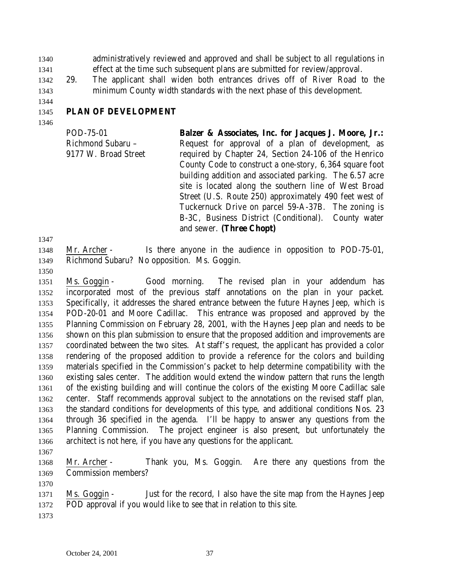administratively reviewed and approved and shall be subject to all regulations in effect at the time such subsequent plans are submitted for review/approval.

 29. The applicant shall widen both entrances drives off of River Road to the minimum County width standards with the next phase of this development.

# **PLAN OF DEVELOPMENT**

POD-75-01 Richmond Subaru – 9177 W. Broad Street **Balzer & Associates, Inc. for Jacques J. Moore, Jr.:** Request for approval of a plan of development, as required by Chapter 24, Section 24-106 of the Henrico County Code to construct a one-story, 6,364 square foot building addition and associated parking. The 6.57 acre site is located along the southern line of West Broad Street (U.S. Route 250) approximately 490 feet west of Tuckernuck Drive on parcel 59-A-37B. The zoning is B-3C, Business District (Conditional). County water and sewer. **(Three Chopt)**

- Mr. Archer Is there anyone in the audience in opposition to POD-75-01, Richmond Subaru? No opposition. Ms. Goggin.
- 

 Ms. Goggin - Good morning. The revised plan in your addendum has incorporated most of the previous staff annotations on the plan in your packet. Specifically, it addresses the shared entrance between the future Haynes Jeep, which is POD-20-01 and Moore Cadillac. This entrance was proposed and approved by the Planning Commission on February 28, 2001, with the Haynes Jeep plan and needs to be shown on this plan submission to ensure that the proposed addition and improvements are coordinated between the two sites. At staff's request, the applicant has provided a color rendering of the proposed addition to provide a reference for the colors and building materials specified in the Commission's packet to help determine compatibility with the existing sales center. The addition would extend the window pattern that runs the length of the existing building and will continue the colors of the existing Moore Cadillac sale center. Staff recommends approval subject to the annotations on the revised staff plan, the standard conditions for developments of this type, and additional conditions Nos. 23 through 36 specified in the agenda. I'll be happy to answer any questions from the Planning Commission. The project engineer is also present, but unfortunately the architect is not here, if you have any questions for the applicant.

 Mr. Archer - Thank you, Ms. Goggin. Are there any questions from the Commission members?

- Ms. Goggin - Just for the record, I also have the site map from the Haynes Jeep POD approval if you would like to see that in relation to this site.
	-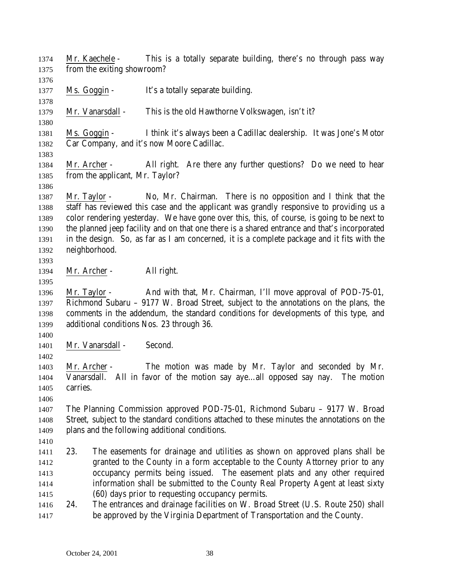| 1374<br>1375 | Mr. Kaechele -<br>from the exiting showroom? | This is a totally separate building, there's no through pass way                             |
|--------------|----------------------------------------------|----------------------------------------------------------------------------------------------|
| 1376         |                                              |                                                                                              |
| 1377         | Ms. Goggin -                                 | It's a totally separate building.                                                            |
| 1378         |                                              |                                                                                              |
| 1379         | Mr. Vanarsdall -                             | This is the old Hawthorne Volkswagen, isn't it?                                              |
| 1380         |                                              |                                                                                              |
| 1381         | Ms. Goggin -                                 | I think it's always been a Cadillac dealership. It was Jone's Motor                          |
| 1382         |                                              | Car Company, and it's now Moore Cadillac.                                                    |
| 1383         |                                              |                                                                                              |
| 1384         | Mr. Archer -                                 | All right. Are there any further questions? Do we need to hear                               |
| 1385         | from the applicant, Mr. Taylor?              |                                                                                              |
| 1386         |                                              |                                                                                              |
| 1387         | Mr. Taylor -                                 | No, Mr. Chairman. There is no opposition and I think that the                                |
| 1388         |                                              | staff has reviewed this case and the applicant was grandly responsive to providing us a      |
| 1389         |                                              | color rendering yesterday. We have gone over this, this, of course, is going to be next to   |
| 1390         |                                              | the planned jeep facility and on that one there is a shared entrance and that's incorporated |
| 1391         |                                              | in the design. So, as far as I am concerned, it is a complete package and it fits with the   |
| 1392         | neighborhood.                                |                                                                                              |
| 1393         |                                              |                                                                                              |
| 1394         | Mr. Archer -                                 | All right.                                                                                   |
| 1395         |                                              |                                                                                              |
| 1396         | Mr. Taylor -                                 | And with that, Mr. Chairman, I'll move approval of POD-75-01,                                |
| 1397         |                                              | Richmond Subaru - 9177 W. Broad Street, subject to the annotations on the plans, the         |
| 1398         |                                              | comments in the addendum, the standard conditions for developments of this type, and         |
| 1399         | additional conditions Nos. 23 through 36.    |                                                                                              |
| 1400         |                                              |                                                                                              |
| 1401         | Mr. Vanarsdall -                             | Second.                                                                                      |
| 1402         |                                              |                                                                                              |
| 1403         | Mr. Archer -                                 | The motion was made by Mr. Taylor and seconded by Mr.                                        |
| 1404         |                                              | Vanarsdall. All in favor of the motion say ayeall opposed say nay. The motion                |
| 1405         | carries.                                     |                                                                                              |
| 1406         |                                              |                                                                                              |
| 1407         |                                              | The Planning Commission approved POD-75-01, Richmond Subaru – 9177 W. Broad                  |
| 1408         |                                              | Street, subject to the standard conditions attached to these minutes the annotations on the  |
| 1409         |                                              | plans and the following additional conditions.                                               |
| 1410         |                                              |                                                                                              |
| 1411         | 23.                                          | The easements for drainage and utilities as shown on approved plans shall be                 |
| 1412         |                                              | granted to the County in a form acceptable to the County Attorney prior to any               |
| 1413         |                                              | occupancy permits being issued. The easement plats and any other required                    |
| 1414         |                                              | information shall be submitted to the County Real Property Agent at least sixty              |
| 1415         |                                              | (60) days prior to requesting occupancy permits.                                             |
|              | 24.                                          | The entrances and drainage facilities on W. Broad Street (U.S. Route 250) shall              |
| 1416<br>1417 |                                              | be approved by the Virginia Department of Transportation and the County.                     |
|              |                                              |                                                                                              |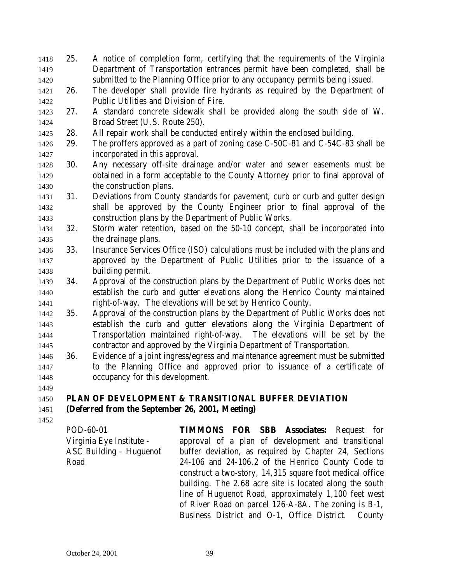- 25. A notice of completion form, certifying that the requirements of the Virginia Department of Transportation entrances permit have been completed, shall be submitted to the Planning Office prior to any occupancy permits being issued. 26. The developer shall provide fire hydrants as required by the Department of Public Utilities and Division of Fire. 27. A standard concrete sidewalk shall be provided along the south side of W. Broad Street (U.S. Route 250). 28. All repair work shall be conducted entirely within the enclosed building. 29. The proffers approved as a part of zoning case C-50C-81 and C-54C-83 shall be incorporated in this approval. 30. Any necessary off-site drainage and/or water and sewer easements must be obtained in a form acceptable to the County Attorney prior to final approval of 1430 the construction plans. 31. Deviations from County standards for pavement, curb or curb and gutter design shall be approved by the County Engineer prior to final approval of the construction plans by the Department of Public Works. 32. Storm water retention, based on the 50-10 concept, shall be incorporated into the drainage plans. 33. Insurance Services Office (ISO) calculations must be included with the plans and approved by the Department of Public Utilities prior to the issuance of a building permit. 34. Approval of the construction plans by the Department of Public Works does not establish the curb and gutter elevations along the Henrico County maintained right-of-way. The elevations will be set by Henrico County. 35. Approval of the construction plans by the Department of Public Works does not establish the curb and gutter elevations along the Virginia Department of Transportation maintained right-of-way. The elevations will be set by the contractor and approved by the Virginia Department of Transportation.
- 36. Evidence of a joint ingress/egress and maintenance agreement must be submitted to the Planning Office and approved prior to issuance of a certificate of occupancy for this development.

# **PLAN OF DEVELOPMENT & TRANSITIONAL BUFFER DEVIATION**

## **(Deferred from the September 26, 2001, Meeting)**

POD-60-01 Virginia Eye Institute - ASC Building – Huguenot Road **TIMMONS FOR SBB Associates:** Request for approval of a plan of development and transitional buffer deviation, as required by Chapter 24, Sections 24-106 and 24-106.2 of the Henrico County Code to construct a two-story, 14,315 square foot medical office building. The 2.68 acre site is located along the south line of Huguenot Road, approximately 1,100 feet west of River Road on parcel 126-A-8A. The zoning is B-1, Business District and O-1, Office District. County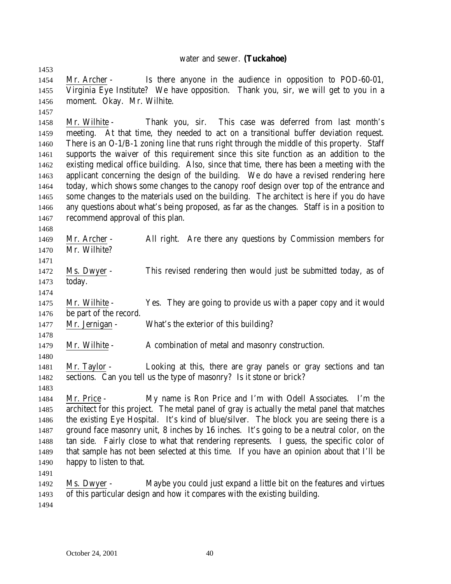#### water and sewer. **(Tuckahoe)**

 Mr. Archer - Is there anyone in the audience in opposition to POD-60-01, Virginia Eye Institute? We have opposition. Thank you, sir, we will get to you in a moment. Okay. Mr. Wilhite.

 Mr. Wilhite - Thank you, sir. This case was deferred from last month's meeting. At that time, they needed to act on a transitional buffer deviation request. There is an O-1/B-1 zoning line that runs right through the middle of this property. Staff supports the waiver of this requirement since this site function as an addition to the existing medical office building. Also, since that time, there has been a meeting with the applicant concerning the design of the building. We do have a revised rendering here today, which shows some changes to the canopy roof design over top of the entrance and 1465 some changes to the materials used on the building. The architect is here if you do have any questions about what's being proposed, as far as the changes. Staff is in a position to recommend approval of this plan.

- Mr. Archer All right. Are there any questions by Commission members for Mr. Wilhite?
- Ms. Dwyer This revised rendering then would just be submitted today, as of today.
- 

 Mr. Wilhite - Yes. They are going to provide us with a paper copy and it would be part of the record.

- Mr. Jernigan What's the exterior of this building?
- 1479 Mr. Wilhite A combination of metal and masonry construction.
- Mr. Taylor Looking at this, there are gray panels or gray sections and tan sections. Can you tell us the type of masonry? Is it stone or brick?
- Mr. Price My name is Ron Price and I'm with Odell Associates. I'm the architect for this project. The metal panel of gray is actually the metal panel that matches the existing Eye Hospital. It's kind of blue/silver. The block you are seeing there is a ground face masonry unit, 8 inches by 16 inches. It's going to be a neutral color, on the tan side. Fairly close to what that rendering represents. I guess, the specific color of that sample has not been selected at this time. If you have an opinion about that I'll be happy to listen to that.
- 
- Ms. Dwyer Maybe you could just expand a little bit on the features and virtues of this particular design and how it compares with the existing building.
-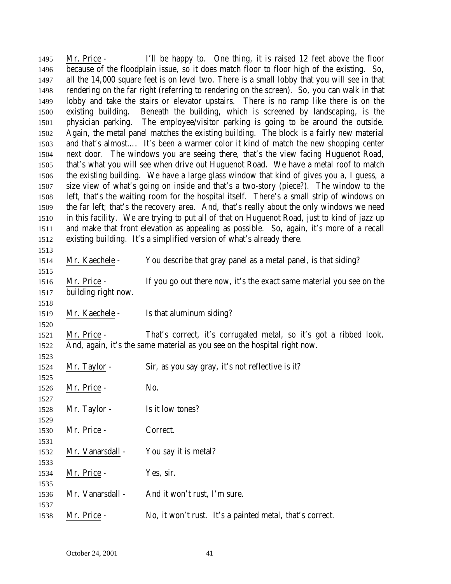Mr. Price - I'll be happy to. One thing, it is raised 12 feet above the floor because of the floodplain issue, so it does match floor to floor high of the existing. So, all the 14,000 square feet is on level two. There is a small lobby that you will see in that rendering on the far right (referring to rendering on the screen). So, you can walk in that lobby and take the stairs or elevator upstairs. There is no ramp like there is on the existing building. Beneath the building, which is screened by landscaping, is the physician parking. The employee/visitor parking is going to be around the outside. Again, the metal panel matches the existing building. The block is a fairly new material and that's almost…. It's been a warmer color it kind of match the new shopping center next door. The windows you are seeing there, that's the view facing Huguenot Road, that's what you will see when drive out Huguenot Road. We have a metal roof to match the existing building. We have a large glass window that kind of gives you a, I guess, a size view of what's going on inside and that's a two-story (piece?). The window to the left, that's the waiting room for the hospital itself. There's a small strip of windows on the far left; that's the recovery area. And, that's really about the only windows we need in this facility. We are trying to put all of that on Huguenot Road, just to kind of jazz up and make that front elevation as appealing as possible. So, again, it's more of a recall existing building. It's a simplified version of what's already there. Mr. Kaechele - You describe that gray panel as a metal panel, is that siding? Mr. Price - If you go out there now, it's the exact same material you see on the building right now. Mr. Kaechele - Is that aluminum siding? Mr. Price - That's correct, it's corrugated metal, so it's got a ribbed look. And, again, it's the same material as you see on the hospital right now. Mr. Taylor - Sir, as you say gray, it's not reflective is it? 1526 Mr. Price - No. 1528 Mr. Taylor - Is it low tones? Mr. Price - Correct. Mr. Vanarsdall - You say it is metal? Mr. Price - Yes, sir. Mr. Vanarsdall - And it won't rust, I'm sure. Mr. Price - No, it won't rust. It's a painted metal, that's correct.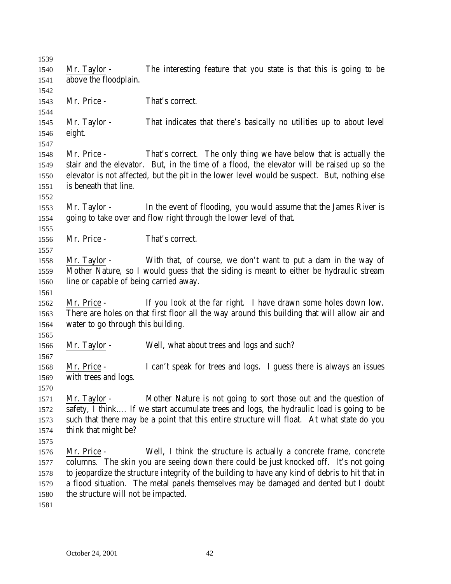Mr. Taylor - The interesting feature that you state is that this is going to be above the floodplain. Mr. Price - That's correct. Mr. Taylor - That indicates that there's basically no utilities up to about level eight. Mr. Price - That's correct. The only thing we have below that is actually the stair and the elevator. But, in the time of a flood, the elevator will be raised up so the elevator is not affected, but the pit in the lower level would be suspect. But, nothing else is beneath that line. Mr. Taylor - In the event of flooding, you would assume that the James River is going to take over and flow right through the lower level of that. Mr. Price - That's correct. Mr. Taylor *-* With that, of course, we don't want to put a dam in the way of Mother Nature, so I would guess that the siding is meant to either be hydraulic stream line or capable of being carried away. Mr. Price - If you look at the far right. I have drawn some holes down low. There are holes on that first floor all the way around this building that will allow air and water to go through this building. Mr. Taylor - Well, what about trees and logs and such? Mr. Price - I can't speak for trees and logs. I guess there is always an issues with trees and logs. Mr. Taylor - Mother Nature is not going to sort those out and the question of safety, I think…. If we start accumulate trees and logs, the hydraulic load is going to be such that there may be a point that this entire structure will float. At what state do you think that might be? Mr. Price - Well, I think the structure is actually a concrete frame, concrete columns. The skin you are seeing down there could be just knocked off. It's not going to jeopardize the structure integrity of the building to have any kind of debris to hit that in a flood situation. The metal panels themselves may be damaged and dented but I doubt the structure will not be impacted.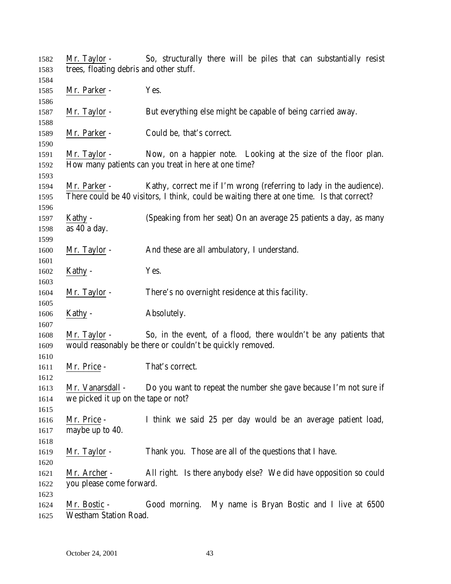| 1582 | Mr. Taylor -                            | So, structurally there will be piles that can substantially resist                        |
|------|-----------------------------------------|-------------------------------------------------------------------------------------------|
| 1583 | trees, floating debris and other stuff. |                                                                                           |
| 1584 |                                         |                                                                                           |
| 1585 | Mr. Parker -                            | Yes.                                                                                      |
| 1586 |                                         |                                                                                           |
| 1587 | Mr. Taylor -                            | But everything else might be capable of being carried away.                               |
| 1588 |                                         |                                                                                           |
| 1589 | Mr. Parker -                            | Could be, that's correct.                                                                 |
| 1590 |                                         |                                                                                           |
| 1591 | Mr. Taylor -                            | Now, on a happier note. Looking at the size of the floor plan.                            |
| 1592 |                                         | How many patients can you treat in here at one time?                                      |
| 1593 |                                         |                                                                                           |
| 1594 | Mr. Parker -                            | Kathy, correct me if I'm wrong (referring to lady in the audience).                       |
| 1595 |                                         | There could be 40 visitors, I think, could be waiting there at one time. Is that correct? |
| 1596 |                                         |                                                                                           |
| 1597 | Kathy -                                 | (Speaking from her seat) On an average 25 patients a day, as many                         |
| 1598 | as 40 a day.                            |                                                                                           |
| 1599 |                                         |                                                                                           |
| 1600 | Mr. Taylor -                            | And these are all ambulatory, I understand.                                               |
| 1601 |                                         |                                                                                           |
| 1602 | Kathy -                                 | Yes.                                                                                      |
| 1603 |                                         |                                                                                           |
| 1604 | Mr. Taylor -                            | There's no overnight residence at this facility.                                          |
| 1605 |                                         |                                                                                           |
| 1606 | Kathy -                                 | Absolutely.                                                                               |
| 1607 |                                         |                                                                                           |
| 1608 | Mr. Taylor -                            | So, in the event, of a flood, there wouldn't be any patients that                         |
| 1609 |                                         | would reasonably be there or couldn't be quickly removed.                                 |
| 1610 |                                         |                                                                                           |
| 1611 | Mr. Price -                             | That's correct.                                                                           |
| 1612 |                                         |                                                                                           |
| 1613 | Mr. Vanarsdall -                        | Do you want to repeat the number she gave because I'm not sure if                         |
| 1614 | we picked it up on the tape or not?     |                                                                                           |
| 1615 |                                         |                                                                                           |
| 1616 | Mr. Price -                             | I think we said 25 per day would be an average patient load,                              |
| 1617 | maybe up to 40.                         |                                                                                           |
| 1618 |                                         |                                                                                           |
|      |                                         | Thank you. Those are all of the questions that I have.                                    |
| 1619 | Mr. Taylor -                            |                                                                                           |
| 1620 |                                         |                                                                                           |
| 1621 | Mr. Archer -                            | All right. Is there anybody else? We did have opposition so could                         |
| 1622 | you please come forward.                |                                                                                           |
| 1623 |                                         |                                                                                           |
| 1624 | Mr. Bostic -                            | Good morning. My name is Bryan Bostic and I live at 6500                                  |
| 1625 | <b>Westham Station Road.</b>            |                                                                                           |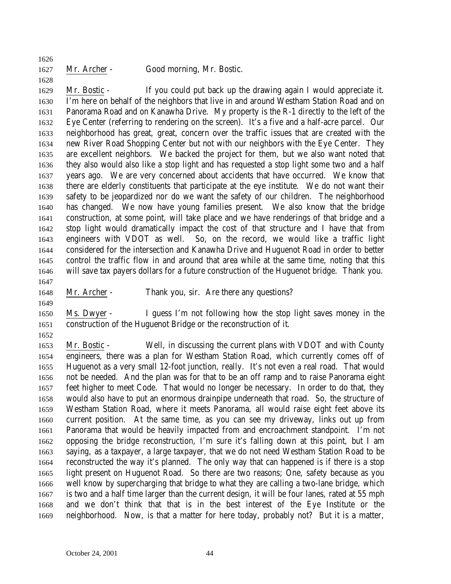Mr. Archer - Good morning, Mr. Bostic.

 Mr. Bostic - If you could put back up the drawing again I would appreciate it. I'm here on behalf of the neighbors that live in and around Westham Station Road and on Panorama Road and on Kanawha Drive. My property is the R-1 directly to the left of the Eye Center (referring to rendering on the screen). It's a five and a half-acre parcel. Our neighborhood has great, great, concern over the traffic issues that are created with the new River Road Shopping Center but not with our neighbors with the Eye Center. They are excellent neighbors. We backed the project for them, but we also want noted that they also would also like a stop light and has requested a stop light some two and a half years ago. We are very concerned about accidents that have occurred. We know that there are elderly constituents that participate at the eye institute. We do not want their safety to be jeopardized nor do we want the safety of our children. The neighborhood has changed. We now have young families present. We also know that the bridge construction, at some point, will take place and we have renderings of that bridge and a stop light would dramatically impact the cost of that structure and I have that from engineers with VDOT as well. So, on the record, we would like a traffic light considered for the intersection and Kanawha Drive and Huguenot Road in order to better control the traffic flow in and around that area while at the same time, noting that this will save tax payers dollars for a future construction of the Huguenot bridge. Thank you.

- Mr. Archer Thank you, sir. Are there any questions?
- Ms. Dwyer I guess I'm not following how the stop light saves money in the construction of the Huguenot Bridge or the reconstruction of it.
- 

 Mr. Bostic - Well, in discussing the current plans with VDOT and with County engineers, there was a plan for Westham Station Road, which currently comes off of Huguenot as a very small 12-foot junction, really. It's not even a real road. That would not be needed. And the plan was for that to be an off ramp and to raise Panorama eight feet higher to meet Code. That would no longer be necessary. In order to do that, they would also have to put an enormous drainpipe underneath that road. So, the structure of Westham Station Road, where it meets Panorama, all would raise eight feet above its current position. At the same time, as you can see my driveway, links out up from Panorama that would be heavily impacted from and encroachment standpoint. I'm not opposing the bridge reconstruction, I'm sure it's falling down at this point, but I am saying, as a taxpayer, a large taxpayer, that we do not need Westham Station Road to be reconstructed the way it's planned. The only way that can happened is if there is a stop light present on Huguenot Road. So there are two reasons; One, safety because as you well know by supercharging that bridge to what they are calling a two-lane bridge, which is two and a half time larger than the current design, it will be four lanes, rated at 55 mph and we don't think that that is in the best interest of the Eye Institute or the neighborhood. Now, is that a matter for here today, probably not? But it is a matter,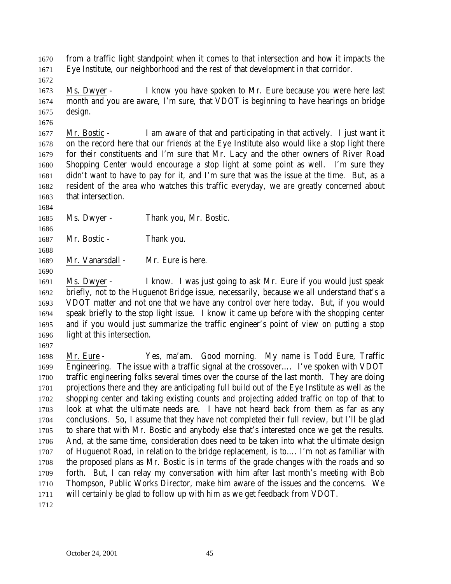from a traffic light standpoint when it comes to that intersection and how it impacts the Eye Institute, our neighborhood and the rest of that development in that corridor.

 Ms. Dwyer - I know you have spoken to Mr. Eure because you were here last month and you are aware, I'm sure, that VDOT is beginning to have hearings on bridge design.

 Mr. Bostic - I am aware of that and participating in that actively. I just want it on the record here that our friends at the Eye Institute also would like a stop light there for their constituents and I'm sure that Mr. Lacy and the other owners of River Road Shopping Center would encourage a stop light at some point as well. I'm sure they didn't want to have to pay for it, and I'm sure that was the issue at the time. But, as a resident of the area who watches this traffic everyday, we are greatly concerned about that intersection.

Ms. Dwyer - Thank you, Mr. Bostic.

1687 Mr. Bostic - Thank you.

Mr. Vanarsdall - Mr. Eure is here.

 Ms. Dwyer - I know. I was just going to ask Mr. Eure if you would just speak briefly, not to the Huguenot Bridge issue, necessarily, because we all understand that's a VDOT matter and not one that we have any control over here today. But, if you would speak briefly to the stop light issue. I know it came up before with the shopping center and if you would just summarize the traffic engineer's point of view on putting a stop light at this intersection.

 Mr. Eure - Yes, ma'am. Good morning. My name is Todd Eure, Traffic Engineering. The issue with a traffic signal at the crossover…. I've spoken with VDOT traffic engineering folks several times over the course of the last month. They are doing projections there and they are anticipating full build out of the Eye Institute as well as the shopping center and taking existing counts and projecting added traffic on top of that to look at what the ultimate needs are. I have not heard back from them as far as any conclusions. So, I assume that they have not completed their full review, but I'll be glad to share that with Mr. Bostic and anybody else that's interested once we get the results. And, at the same time, consideration does need to be taken into what the ultimate design of Huguenot Road, in relation to the bridge replacement, is to…. I'm not as familiar with the proposed plans as Mr. Bostic is in terms of the grade changes with the roads and so forth. But, I can relay my conversation with him after last month's meeting with Bob Thompson, Public Works Director, make him aware of the issues and the concerns. We will certainly be glad to follow up with him as we get feedback from VDOT.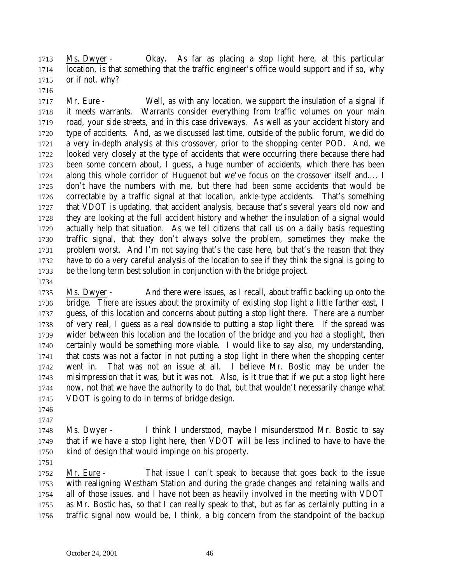Ms. Dwyer - Okay. As far as placing a stop light here, at this particular location, is that something that the traffic engineer's office would support and if so, why or if not, why?

1717 Mr. Eure - Well, as with any location, we support the insulation of a signal if it meets warrants. Warrants consider everything from traffic volumes on your main road, your side streets, and in this case driveways. As well as your accident history and type of accidents. And, as we discussed last time, outside of the public forum, we did do a very in-depth analysis at this crossover, prior to the shopping center POD. And, we looked very closely at the type of accidents that were occurring there because there had been some concern about, I guess, a huge number of accidents, which there has been along this whole corridor of Huguenot but we've focus on the crossover itself and…. I don't have the numbers with me, but there had been some accidents that would be correctable by a traffic signal at that location, ankle-type accidents. That's something that VDOT is updating, that accident analysis, because that's several years old now and they are looking at the full accident history and whether the insulation of a signal would actually help that situation. As we tell citizens that call us on a daily basis requesting traffic signal, that they don't always solve the problem, sometimes they make the problem worst. And I'm not saying that's the case here, but that's the reason that they have to do a very careful analysis of the location to see if they think the signal is going to be the long term best solution in conjunction with the bridge project.

 Ms. Dwyer - And there were issues, as I recall, about traffic backing up onto the bridge. There are issues about the proximity of existing stop light a little farther east, I guess, of this location and concerns about putting a stop light there. There are a number of very real, I guess as a real downside to putting a stop light there. If the spread was wider between this location and the location of the bridge and you had a stoplight, then certainly would be something more viable. I would like to say also, my understanding, that costs was not a factor in not putting a stop light in there when the shopping center went in. That was not an issue at all. I believe Mr. Bostic may be under the misimpression that it was, but it was not. Also, is it true that if we put a stop light here now, not that we have the authority to do that, but that wouldn't necessarily change what VDOT is going to do in terms of bridge design.

- 
- 

 Ms. Dwyer - I think I understood, maybe I misunderstood Mr. Bostic to say that if we have a stop light here, then VDOT will be less inclined to have to have the kind of design that would impinge on his property.

 Mr. Eure - That issue I can't speak to because that goes back to the issue with realigning Westham Station and during the grade changes and retaining walls and all of those issues, and I have not been as heavily involved in the meeting with VDOT as Mr. Bostic has, so that I can really speak to that, but as far as certainly putting in a traffic signal now would be, I think, a big concern from the standpoint of the backup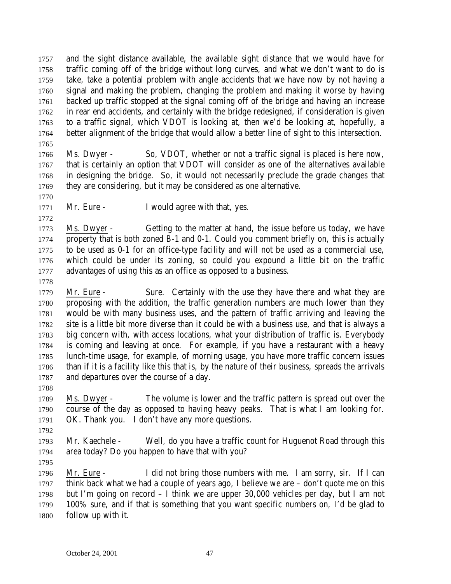and the sight distance available, the available sight distance that we would have for traffic coming off of the bridge without long curves, and what we don't want to do is take, take a potential problem with angle accidents that we have now by not having a signal and making the problem, changing the problem and making it worse by having backed up traffic stopped at the signal coming off of the bridge and having an increase in rear end accidents, and certainly with the bridge redesigned, if consideration is given to a traffic signal, which VDOT is looking at, then we'd be looking at, hopefully, a better alignment of the bridge that would allow a better line of sight to this intersection. 

 Ms. Dwyer - So, VDOT, whether or not a traffic signal is placed is here now, that is certainly an option that VDOT will consider as one of the alternatives available in designing the bridge. So, it would not necessarily preclude the grade changes that they are considering, but it may be considered as one alternative.

1771 Mr. Eure - I would agree with that, yes.

 Ms. Dwyer - Getting to the matter at hand, the issue before us today, we have property that is both zoned B-1 and 0-1. Could you comment briefly on, this is actually to be used as 0-1 for an office-type facility and will not be used as a commercial use, which could be under its zoning, so could you expound a little bit on the traffic advantages of using this as an office as opposed to a business.

 Mr. Eure - Sure. Certainly with the use they have there and what they are proposing with the addition, the traffic generation numbers are much lower than they would be with many business uses, and the pattern of traffic arriving and leaving the site is a little bit more diverse than it could be with a business use, and that is always a big concern with, with access locations, what your distribution of traffic is. Everybody is coming and leaving at once. For example, if you have a restaurant with a heavy lunch-time usage, for example, of morning usage, you have more traffic concern issues than if it is a facility like this that is, by the nature of their business, spreads the arrivals and departures over the course of a day.

 Ms. Dwyer - The volume is lower and the traffic pattern is spread out over the course of the day as opposed to having heavy peaks. That is what I am looking for. OK. Thank you. I don't have any more questions.

 Mr. Kaechele - Well, do you have a traffic count for Huguenot Road through this area today? Do you happen to have that with you?

 Mr. Eure - I did not bring those numbers with me. I am sorry, sir. If I can think back what we had a couple of years ago, I believe we are – don't quote me on this but I'm going on record – I think we are upper 30,000 vehicles per day, but I am not 100% sure, and if that is something that you want specific numbers on, I'd be glad to follow up with it.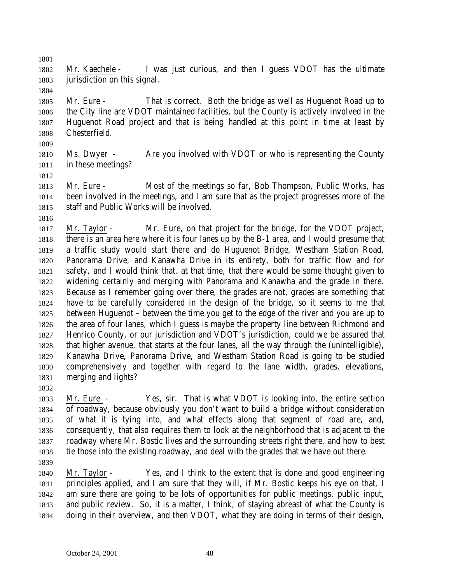Mr. Kaechele - I was just curious, and then I guess VDOT has the ultimate jurisdiction on this signal.

 Mr. Eure - That is correct. Both the bridge as well as Huguenot Road up to the City line are VDOT maintained facilities, but the County is actively involved in the Huguenot Road project and that is being handled at this point in time at least by Chesterfield.

 Ms. Dwyer - Are you involved with VDOT or who is representing the County in these meetings?

 Mr. Eure - Most of the meetings so far, Bob Thompson, Public Works, has been involved in the meetings, and I am sure that as the project progresses more of the staff and Public Works will be involved.

 Mr. Taylor - Mr. Eure, on that project for the bridge, for the VDOT project, there is an area here where it is four lanes up by the B-1 area, and I would presume that a traffic study would start there and do Huguenot Bridge, Westham Station Road, Panorama Drive, and Kanawha Drive in its entirety, both for traffic flow and for safety, and I would think that, at that time, that there would be some thought given to widening certainly and merging with Panorama and Kanawha and the grade in there. Because as I remember going over there, the grades are not, grades are something that have to be carefully considered in the design of the bridge, so it seems to me that between Huguenot – between the time you get to the edge of the river and you are up to the area of four lanes, which I guess is maybe the property line between Richmond and Henrico County, or our jurisdiction and VDOT's jurisdiction, could we be assured that that higher avenue, that starts at the four lanes, all the way through the (unintelligible), Kanawha Drive, Panorama Drive, and Westham Station Road is going to be studied comprehensively and together with regard to the lane width, grades, elevations, merging and lights?

 Mr. Eure - Yes, sir. That is what VDOT is looking into, the entire section of roadway, because obviously you don't want to build a bridge without consideration of what it is tying into, and what effects along that segment of road are, and, consequently, that also requires them to look at the neighborhood that is adjacent to the roadway where Mr. Bostic lives and the surrounding streets right there, and how to best tie those into the existing roadway, and deal with the grades that we have out there.

 Mr. Taylor - Yes, and I think to the extent that is done and good engineering principles applied, and I am sure that they will, if Mr. Bostic keeps his eye on that, I am sure there are going to be lots of opportunities for public meetings, public input, and public review. So, it is a matter, I think, of staying abreast of what the County is doing in their overview, and then VDOT, what they are doing in terms of their design,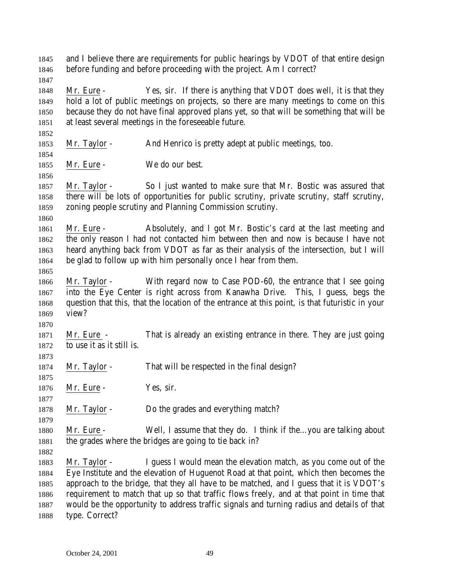and I believe there are requirements for public hearings by VDOT of that entire design before funding and before proceeding with the project. Am I correct? Mr. Eure - Yes, sir. If there is anything that VDOT does well, it is that they hold a lot of public meetings on projects, so there are many meetings to come on this because they do not have final approved plans yet, so that will be something that will be at least several meetings in the foreseeable future. Mr. Taylor - And Henrico is pretty adept at public meetings, too. 1855 Mr. Eure - We do our best. Mr. Taylor - So I just wanted to make sure that Mr. Bostic was assured that there will be lots of opportunities for public scrutiny, private scrutiny, staff scrutiny, zoning people scrutiny and Planning Commission scrutiny. Mr. Eure - Absolutely, and I got Mr. Bostic's card at the last meeting and the only reason I had not contacted him between then and now is because I have not heard anything back from VDOT as far as their analysis of the intersection, but I will be glad to follow up with him personally once I hear from them. Mr. Taylor - With regard now to Case POD-60, the entrance that I see going into the Eye Center is right across from Kanawha Drive. This, I guess, begs the question that this, that the location of the entrance at this point, is that futuristic in your view? Mr. Eure - That is already an existing entrance in there. They are just going to use it as it still is. Mr. Taylor - That will be respected in the final design? 1876 Mr. Eure - Yes, sir. Mr. Taylor - Do the grades and everything match? 1880 Mr. Eure - Well, I assume that they do. I think if the...you are talking about 1881 the grades where the bridges are going to tie back in? Mr. Taylor - I guess I would mean the elevation match, as you come out of the Eye Institute and the elevation of Huguenot Road at that point, which then becomes the approach to the bridge, that they all have to be matched, and I guess that it is VDOT's requirement to match that up so that traffic flows freely, and at that point in time that would be the opportunity to address traffic signals and turning radius and details of that type. Correct?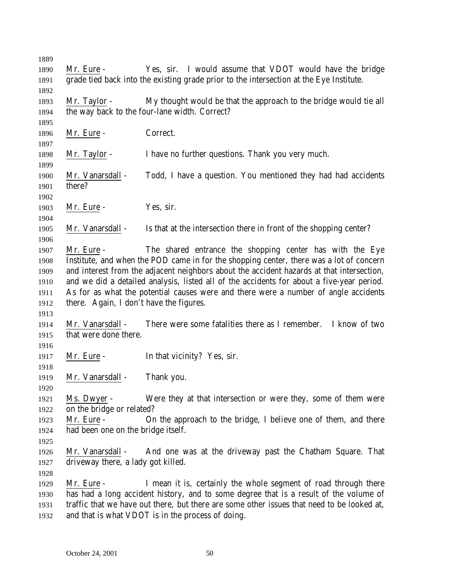Mr. Eure - Yes, sir. I would assume that VDOT would have the bridge grade tied back into the existing grade prior to the intersection at the Eye Institute. Mr. Taylor - My thought would be that the approach to the bridge would tie all the way back to the four-lane width. Correct? 1896 Mr. Eure - Correct. Mr. Taylor - I have no further questions. Thank you very much. Mr. Vanarsdall - Todd, I have a question. You mentioned they had had accidents there? 1903 Mr. Eure - Yes, sir. Mr. Vanarsdall - Is that at the intersection there in front of the shopping center? Mr. Eure - The shared entrance the shopping center has with the Eye Institute, and when the POD came in for the shopping center, there was a lot of concern and interest from the adjacent neighbors about the accident hazards at that intersection, and we did a detailed analysis, listed all of the accidents for about a five-year period. As for as what the potential causes were and there were a number of angle accidents there. Again, I don't have the figures. Mr. Vanarsdall - There were some fatalities there as I remember. I know of two that were done there. 1917 Mr. Eure - In that vicinity? Yes, sir. Mr. Vanarsdall - Thank you. Ms. Dwyer - Were they at that intersection or were they, some of them were on the bridge or related? Mr. Eure - On the approach to the bridge, I believe one of them, and there had been one on the bridge itself. Mr. Vanarsdall - And one was at the driveway past the Chatham Square. That driveway there, a lady got killed. Mr. Eure - I mean it is, certainly the whole segment of road through there has had a long accident history, and to some degree that is a result of the volume of traffic that we have out there, but there are some other issues that need to be looked at, and that is what VDOT is in the process of doing.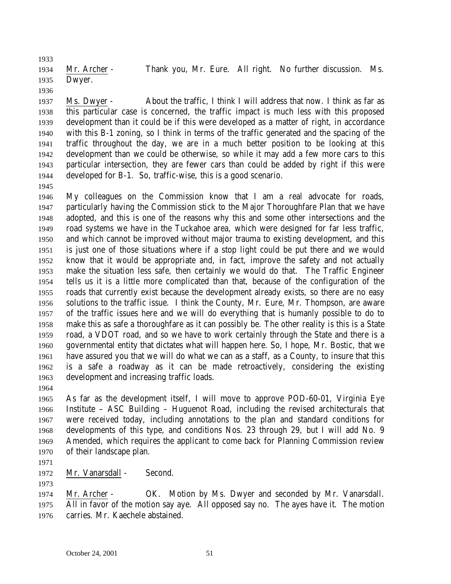Mr. Archer - Thank you, Mr. Eure. All right. No further discussion. Ms. Dwyer.

 Ms. Dwyer - About the traffic, I think I will address that now. I think as far as this particular case is concerned, the traffic impact is much less with this proposed development than it could be if this were developed as a matter of right, in accordance with this B-1 zoning, so I think in terms of the traffic generated and the spacing of the traffic throughout the day, we are in a much better position to be looking at this development than we could be otherwise, so while it may add a few more cars to this particular intersection, they are fewer cars than could be added by right if this were developed for B-1. So, traffic-wise, this is a good scenario.

 My colleagues on the Commission know that I am a real advocate for roads, particularly having the Commission stick to the Major Thoroughfare Plan that we have adopted, and this is one of the reasons why this and some other intersections and the road systems we have in the Tuckahoe area, which were designed for far less traffic, and which cannot be improved without major trauma to existing development, and this is just one of those situations where if a stop light could be put there and we would know that it would be appropriate and, in fact, improve the safety and not actually make the situation less safe, then certainly we would do that. The Traffic Engineer tells us it is a little more complicated than that, because of the configuration of the roads that currently exist because the development already exists, so there are no easy solutions to the traffic issue. I think the County, Mr. Eure, Mr. Thompson, are aware of the traffic issues here and we will do everything that is humanly possible to do to make this as safe a thoroughfare as it can possibly be. The other reality is this is a State road, a VDOT road, and so we have to work certainly through the State and there is a governmental entity that dictates what will happen here. So, I hope, Mr. Bostic, that we have assured you that we will do what we can as a staff, as a County, to insure that this is a safe a roadway as it can be made retroactively, considering the existing development and increasing traffic loads. 

 As far as the development itself, I will move to approve POD-60-01, Virginia Eye Institute – ASC Building – Huguenot Road, including the revised architecturals that were received today, including annotations to the plan and standard conditions for developments of this type, and conditions Nos. 23 through 29, but I will add No. 9 Amended, which requires the applicant to come back for Planning Commission review of their landscape plan.

1972 Mr. Vanarsdall - Second.

 Mr. Archer - OK. Motion by Ms. Dwyer and seconded by Mr. Vanarsdall. All in favor of the motion say aye. All opposed say no. The ayes have it. The motion carries. Mr. Kaechele abstained.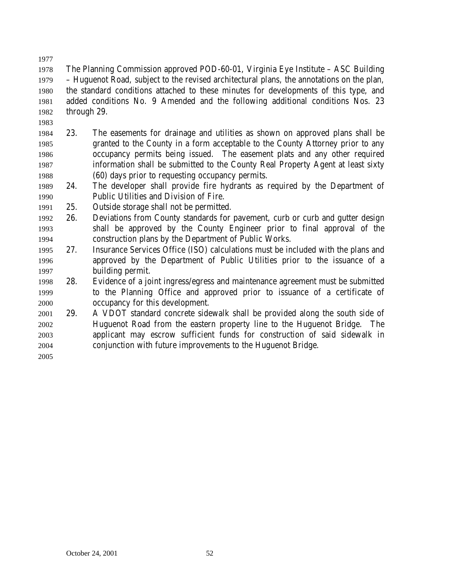The Planning Commission approved POD-60-01, Virginia Eye Institute – ASC Building – Huguenot Road, subject to the revised architectural plans, the annotations on the plan, the standard conditions attached to these minutes for developments of this type, and added conditions No. 9 Amended and the following additional conditions Nos. 23 through 29.

- 23. The easements for drainage and utilities as shown on approved plans shall be granted to the County in a form acceptable to the County Attorney prior to any occupancy permits being issued. The easement plats and any other required information shall be submitted to the County Real Property Agent at least sixty (60) days prior to requesting occupancy permits.
- 24. The developer shall provide fire hydrants as required by the Department of Public Utilities and Division of Fire.
- 25. Outside storage shall not be permitted.
- 26. Deviations from County standards for pavement, curb or curb and gutter design shall be approved by the County Engineer prior to final approval of the construction plans by the Department of Public Works.
- 27. Insurance Services Office (ISO) calculations must be included with the plans and approved by the Department of Public Utilities prior to the issuance of a building permit.
- 28. Evidence of a joint ingress/egress and maintenance agreement must be submitted to the Planning Office and approved prior to issuance of a certificate of occupancy for this development.
- 29. A VDOT standard concrete sidewalk shall be provided along the south side of Huguenot Road from the eastern property line to the Huguenot Bridge. The applicant may escrow sufficient funds for construction of said sidewalk in conjunction with future improvements to the Huguenot Bridge.
-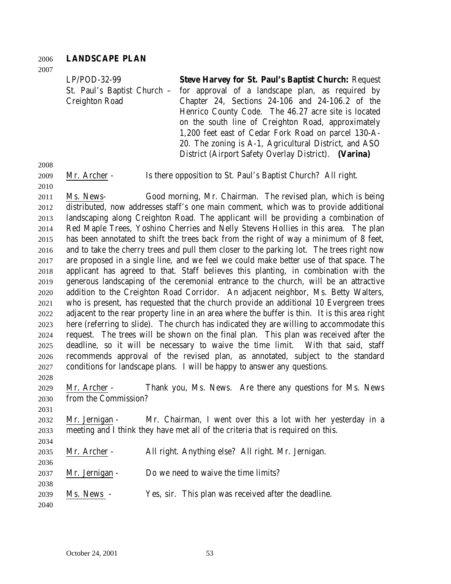#### **LANDSCAPE PLAN**

| $LP/POD-32-99$        | <b>Steve Harvey for St. Paul's Baptist Church: Request</b>                   |
|-----------------------|------------------------------------------------------------------------------|
|                       | St. Paul's Baptist Church - for approval of a landscape plan, as required by |
| <b>Creighton Road</b> | Chapter 24, Sections $24-106$ and $24-106.2$ of the                          |
|                       | Henrico County Code. The 46.27 acre site is located                          |
|                       | on the south line of Creighton Road, approximately                           |
|                       | 1,200 feet east of Cedar Fork Road on parcel 130-A-                          |
|                       | 20. The zoning is A-1, Agricultural District, and ASO                        |
|                       | District (Airport Safety Overlay District). (Varina)                         |

Mr. Archer - Is there opposition to St. Paul's Baptist Church? All right.

 Ms. News- Good morning, Mr. Chairman. The revised plan, which is being distributed, now addresses staff's one main comment, which was to provide additional landscaping along Creighton Road. The applicant will be providing a combination of Red Maple Trees, Yoshino Cherries and Nelly Stevens Hollies in this area. The plan has been annotated to shift the trees back from the right of way a minimum of 8 feet, and to take the cherry trees and pull them closer to the parking lot. The trees right now are proposed in a single line, and we feel we could make better use of that space. The applicant has agreed to that. Staff believes this planting, in combination with the generous landscaping of the ceremonial entrance to the church, will be an attractive addition to the Creighton Road Corridor. An adjacent neighbor, Ms. Betty Walters, who is present, has requested that the church provide an additional 10 Evergreen trees adjacent to the rear property line in an area where the buffer is thin. It is this area right here (referring to slide). The church has indicated they are willing to accommodate this request. The trees will be shown on the final plan. This plan was received after the deadline, so it will be necessary to waive the time limit. With that said, staff recommends approval of the revised plan, as annotated, subject to the standard conditions for landscape plans. I will be happy to answer any questions. 

 Mr. Archer - Thank you, Ms. News. Are there any questions for Ms. News from the Commission?

 Mr. Jernigan - Mr. Chairman, I went over this a lot with her yesterday in a meeting and I think they have met all of the criteria that is required on this.

- Mr. Archer All right. Anything else? All right. Mr. Jernigan.
- Mr. Jernigan Do we need to waive the time limits?
- Ms. News Yes, sir. This plan was received after the deadline.
-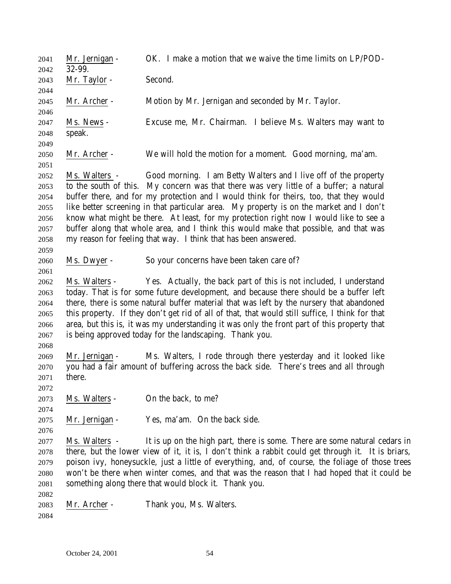Mr. Jernigan - OK. I make a motion that we waive the time limits on LP/POD- 32-99. Mr. Taylor - Second. Mr. Archer - Motion by Mr. Jernigan and seconded by Mr. Taylor. Ms. News - Excuse me, Mr. Chairman. I believe Ms. Walters may want to speak. Mr. Archer - We will hold the motion for a moment. Good morning, ma'am. Ms. Walters - Good morning. I am Betty Walters and I live off of the property to the south of this. My concern was that there was very little of a buffer; a natural buffer there, and for my protection and I would think for theirs, too, that they would like better screening in that particular area. My property is on the market and I don't know what might be there. At least, for my protection right now I would like to see a buffer along that whole area, and I think this would make that possible, and that was my reason for feeling that way. I think that has been answered. Ms. Dwyer - So your concerns have been taken care of? Ms. Walters - Yes. Actually, the back part of this is not included, I understand today. That is for some future development, and because there should be a buffer left there, there is some natural buffer material that was left by the nursery that abandoned this property. If they don't get rid of all of that, that would still suffice, I think for that area, but this is, it was my understanding it was only the front part of this property that is being approved today for the landscaping. Thank you. Mr. Jernigan - Ms. Walters, I rode through there yesterday and it looked like you had a fair amount of buffering across the back side. There's trees and all through there. Ms. Walters - On the back, to me? Mr. Jernigan - Yes, ma'am. On the back side. Ms. Walters - It is up on the high part, there is some. There are some natural cedars in there, but the lower view of it, it is, I don't think a rabbit could get through it. It is briars, poison ivy, honeysuckle, just a little of everything, and, of course, the foliage of those trees won't be there when winter comes, and that was the reason that I had hoped that it could be something along there that would block it. Thank you. Mr. Archer - Thank you, Ms. Walters.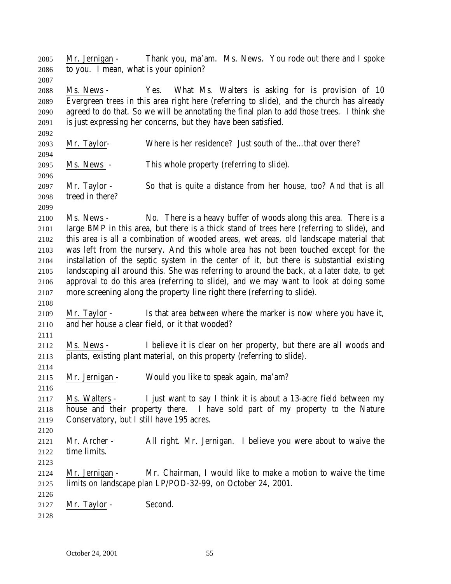October 24, 2001 55 Ms. News - Yes. What Ms. Walters is asking for is provision of 10 Evergreen trees in this area right here (referring to slide), and the church has already agreed to do that. So we will be annotating the final plan to add those trees. I think she is just expressing her concerns, but they have been satisfied. Mr. Taylor- Where is her residence? Just south of the…that over there? Ms. News - This whole property (referring to slide). Mr. Taylor - So that is quite a distance from her house, too? And that is all treed in there? Ms. News - No. There is a heavy buffer of woods along this area. There is a large BMP in this area, but there is a thick stand of trees here (referring to slide), and this area is all a combination of wooded areas, wet areas, old landscape material that was left from the nursery. And this whole area has not been touched except for the installation of the septic system in the center of it, but there is substantial existing landscaping all around this. She was referring to around the back, at a later date, to get approval to do this area (referring to slide), and we may want to look at doing some more screening along the property line right there (referring to slide). Mr. Taylor - Is that area between where the marker is now where you have it, and her house a clear field, or it that wooded? Ms. News - I believe it is clear on her property, but there are all woods and plants, existing plant material, on this property (referring to slide). Mr. Jernigan - Would you like to speak again, ma'am? Ms. Walters - I just want to say I think it is about a 13-acre field between my house and their property there. I have sold part of my property to the Nature Conservatory, but I still have 195 acres. Mr. Archer - All right. Mr. Jernigan. I believe you were about to waive the time limits. Mr. Jernigan - Mr. Chairman, I would like to make a motion to waive the time limits on landscape plan LP/POD-32-99, on October 24, 2001. 2127 Mr. Taylor - Second. 

Mr. Jernigan - Thank you, ma'am. Ms. News. You rode out there and I spoke

to you. I mean, what is your opinion?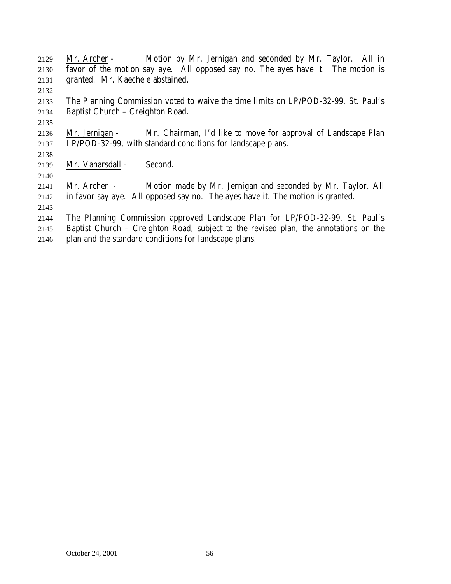| 2129 | Mr. Archer - Motion by Mr. Jernigan and seconded by Mr. Taylor. All in               |
|------|--------------------------------------------------------------------------------------|
| 2130 | favor of the motion say aye. All opposed say no. The ayes have it. The motion is     |
| 2131 | granted. Mr. Kaechele abstained.                                                     |
| 2132 |                                                                                      |
| 2133 | The Planning Commission voted to waive the time limits on LP/POD-32-99, St. Paul's   |
| 2134 | Baptist Church - Creighton Road.                                                     |
| 2135 |                                                                                      |
| 2136 | Mr. Chairman, I'd like to move for approval of Landscape Plan<br>Mr. Jernigan -      |
| 2137 | LP/POD-32-99, with standard conditions for landscape plans.                          |
| 2138 |                                                                                      |
| 2139 | Mr. Vanarsdall -<br>Second.                                                          |
| 2140 |                                                                                      |
| 2141 | Motion made by Mr. Jernigan and seconded by Mr. Taylor. All<br>Mr. Archer -          |
| 2142 | in favor say aye. All opposed say no. The ayes have it. The motion is granted.       |
| 2143 |                                                                                      |
| 2144 | The Planning Commission approved Landscape Plan for LP/POD-32-99, St. Paul's         |
| 2145 | Baptist Church - Creighton Road, subject to the revised plan, the annotations on the |
| 2146 | plan and the standard conditions for landscape plans.                                |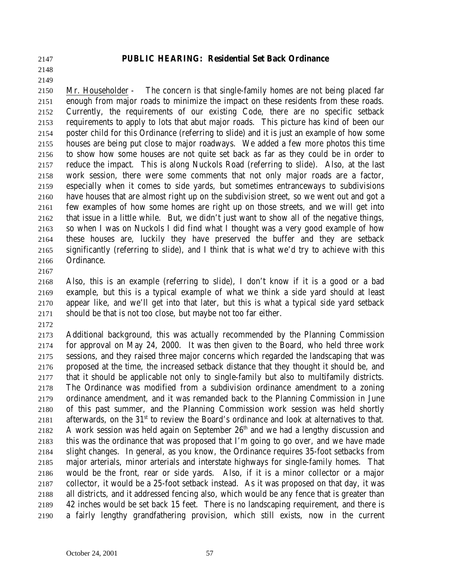**PUBLIC HEARING: Residential Set Back Ordinance**

# 

## Mr. Householder - The concern is that single-family homes are not being placed far enough from major roads to minimize the impact on these residents from these roads. Currently, the requirements of our existing Code, there are no specific setback requirements to apply to lots that abut major roads. This picture has kind of been our poster child for this Ordinance (referring to slide) and it is just an example of how some houses are being put close to major roadways. We added a few more photos this time to show how some houses are not quite set back as far as they could be in order to reduce the impact. This is along Nuckols Road (referring to slide). Also, at the last work session, there were some comments that not only major roads are a factor, especially when it comes to side yards, but sometimes entranceways to subdivisions have houses that are almost right up on the subdivision street, so we went out and got a few examples of how some homes are right up on those streets, and we will get into that issue in a little while. But, we didn't just want to show all of the negative things, so when I was on Nuckols I did find what I thought was a very good example of how these houses are, luckily they have preserved the buffer and they are setback significantly (referring to slide), and I think that is what we'd try to achieve with this

 Ordinance. 

 Also, this is an example (referring to slide), I don't know if it is a good or a bad example, but this is a typical example of what we think a side yard should at least appear like, and we'll get into that later, but this is what a typical side yard setback should be that is not too close, but maybe not too far either.

 Additional background, this was actually recommended by the Planning Commission for approval on May 24, 2000. It was then given to the Board, who held three work sessions, and they raised three major concerns which regarded the landscaping that was proposed at the time, the increased setback distance that they thought it should be, and that it should be applicable not only to single-family but also to multifamily districts. The Ordinance was modified from a subdivision ordinance amendment to a zoning ordinance amendment, and it was remanded back to the Planning Commission in June of this past summer, and the Planning Commission work session was held shortly 2181 afterwards, on the  $31<sup>st</sup>$  to review the Board's ordinance and look at alternatives to that. 2182 A work session was held again on September  $26<sup>th</sup>$  and we had a lengthy discussion and this was the ordinance that was proposed that I'm going to go over, and we have made slight changes. In general, as you know, the Ordinance requires 35-foot setbacks from major arterials, minor arterials and interstate highways for single-family homes. That would be the front, rear or side yards. Also, if it is a minor collector or a major collector, it would be a 25-foot setback instead. As it was proposed on that day, it was all districts, and it addressed fencing also, which would be any fence that is greater than 42 inches would be set back 15 feet. There is no landscaping requirement, and there is a fairly lengthy grandfathering provision, which still exists, now in the current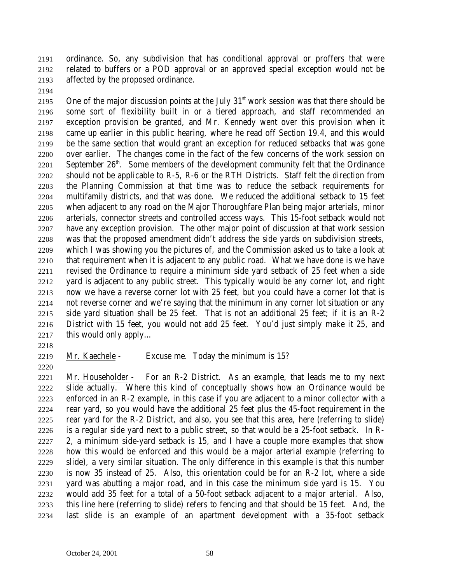ordinance. So, any subdivision that has conditional approval or proffers that were related to buffers or a POD approval or an approved special exception would not be affected by the proposed ordinance.

2195 One of the major discussion points at the July  $31<sup>st</sup>$  work session was that there should be some sort of flexibility built in or a tiered approach, and staff recommended an exception provision be granted, and Mr. Kennedy went over this provision when it came up earlier in this public hearing, where he read off Section 19.4, and this would be the same section that would grant an exception for reduced setbacks that was gone over earlier. The changes come in the fact of the few concerns of the work session on September  $26<sup>th</sup>$ . Some members of the development community felt that the Ordinance should not be applicable to R-5, R-6 or the RTH Districts. Staff felt the direction from the Planning Commission at that time was to reduce the setback requirements for multifamily districts, and that was done. We reduced the additional setback to 15 feet when adjacent to any road on the Major Thoroughfare Plan being major arterials, minor arterials, connector streets and controlled access ways. This 15-foot setback would not have any exception provision. The other major point of discussion at that work session was that the proposed amendment didn't address the side yards on subdivision streets, which I was showing you the pictures of, and the Commission asked us to take a look at that requirement when it is adjacent to any public road. What we have done is we have revised the Ordinance to require a minimum side yard setback of 25 feet when a side yard is adjacent to any public street. This typically would be any corner lot, and right now we have a reverse corner lot with 25 feet, but you could have a corner lot that is not reverse corner and we're saying that the minimum in any corner lot situation or any side yard situation shall be 25 feet. That is not an additional 25 feet; if it is an R-2 District with 15 feet, you would not add 25 feet. You'd just simply make it 25, and this would only apply…

- -
- 

Mr. Kaechele - Excuse me. Today the minimum is 15?

 Mr. Householder - For an R-2 District. As an example, that leads me to my next slide actually. Where this kind of conceptually shows how an Ordinance would be enforced in an R-2 example, in this case if you are adjacent to a minor collector with a rear yard, so you would have the additional 25 feet plus the 45-foot requirement in the rear yard for the R-2 District, and also, you see that this area, here (referring to slide) is a regular side yard next to a public street, so that would be a 25-foot setback. In R- 2, a minimum side-yard setback is 15, and I have a couple more examples that show how this would be enforced and this would be a major arterial example (referring to slide), a very similar situation. The only difference in this example is that this number is now 35 instead of 25. Also, this orientation could be for an R-2 lot, where a side yard was abutting a major road, and in this case the minimum side yard is 15. You would add 35 feet for a total of a 50-foot setback adjacent to a major arterial. Also, this line here (referring to slide) refers to fencing and that should be 15 feet. And, the last slide is an example of an apartment development with a 35-foot setback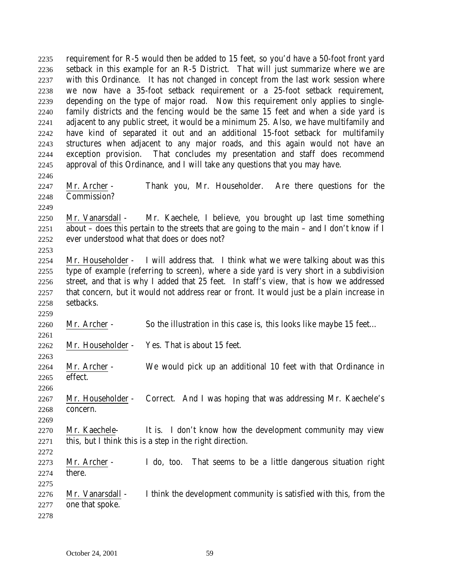requirement for R-5 would then be added to 15 feet, so you'd have a 50-foot front yard setback in this example for an R-5 District. That will just summarize where we are with this Ordinance. It has not changed in concept from the last work session where we now have a 35-foot setback requirement or a 25-foot setback requirement, depending on the type of major road. Now this requirement only applies to single- family districts and the fencing would be the same 15 feet and when a side yard is adjacent to any public street, it would be a minimum 25. Also, we have multifamily and have kind of separated it out and an additional 15-foot setback for multifamily structures when adjacent to any major roads, and this again would not have an exception provision. That concludes my presentation and staff does recommend approval of this Ordinance, and I will take any questions that you may have. 

 Mr. Archer - Thank you, Mr. Householder. Are there questions for the Commission?

 Mr. Vanarsdall - Mr. Kaechele, I believe, you brought up last time something about – does this pertain to the streets that are going to the main – and I don't know if I ever understood what that does or does not?

 Mr. Householder - I will address that. I think what we were talking about was this type of example (referring to screen), where a side yard is very short in a subdivision street, and that is why I added that 25 feet. In staff's view, that is how we addressed that concern, but it would not address rear or front. It would just be a plain increase in setbacks.

Mr. Archer - So the illustration in this case is, this looks like maybe 15 feet…

Mr. Householder - Yes. That is about 15 feet.

 Mr. Archer - We would pick up an additional 10 feet with that Ordinance in effect.

 Mr. Householder - Correct. And I was hoping that was addressing Mr. Kaechele's concern.

 Mr. Kaechele- It is. I don't know how the development community may view this, but I think this is a step in the right direction.

 Mr. Archer - I do, too. That seems to be a little dangerous situation right there.

 Mr. Vanarsdall - I think the development community is satisfied with this, from the one that spoke.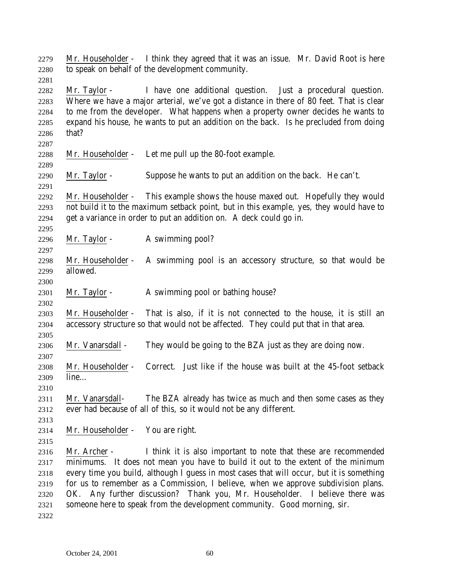| 2279<br>2280<br>2281                         |                               | Mr. Householder - I think they agreed that it was an issue. Mr. David Root is here<br>to speak on behalf of the development community.                                                                                                                                                                                                                                                                                                                                                           |
|----------------------------------------------|-------------------------------|--------------------------------------------------------------------------------------------------------------------------------------------------------------------------------------------------------------------------------------------------------------------------------------------------------------------------------------------------------------------------------------------------------------------------------------------------------------------------------------------------|
| 2282<br>2283<br>2284<br>2285<br>2286<br>2287 | Mr. Taylor -<br>that?         | I have one additional question. Just a procedural question.<br>Where we have a major arterial, we've got a distance in there of 80 feet. That is clear<br>to me from the developer. What happens when a property owner decides he wants to<br>expand his house, he wants to put an addition on the back. Is he precluded from doing                                                                                                                                                              |
| 2288<br>2289                                 | Mr. Householder -             | Let me pull up the 80-foot example.                                                                                                                                                                                                                                                                                                                                                                                                                                                              |
| 2290<br>2291                                 | Mr. Taylor -                  | Suppose he wants to put an addition on the back. He can't.                                                                                                                                                                                                                                                                                                                                                                                                                                       |
| 2292<br>2293<br>2294<br>2295                 |                               | Mr. Householder - This example shows the house maxed out. Hopefully they would<br>not build it to the maximum setback point, but in this example, yes, they would have to<br>get a variance in order to put an addition on. A deck could go in.                                                                                                                                                                                                                                                  |
| 2296<br>2297                                 | Mr. Taylor -                  | A swimming pool?                                                                                                                                                                                                                                                                                                                                                                                                                                                                                 |
| 2298<br>2299                                 | Mr. Householder -<br>allowed. | A swimming pool is an accessory structure, so that would be                                                                                                                                                                                                                                                                                                                                                                                                                                      |
| 2300<br>2301<br>2302                         | Mr. Taylor -                  | A swimming pool or bathing house?                                                                                                                                                                                                                                                                                                                                                                                                                                                                |
| 2303<br>2304<br>2305                         |                               | Mr. Householder - That is also, if it is not connected to the house, it is still an<br>accessory structure so that would not be affected. They could put that in that area.                                                                                                                                                                                                                                                                                                                      |
| 2306<br>2307                                 | Mr. Vanarsdall -              | They would be going to the BZA just as they are doing now.                                                                                                                                                                                                                                                                                                                                                                                                                                       |
| 2308<br>2309<br>2310                         | Mr. Householder -<br>line     | Correct. Just like if the house was built at the 45-foot setback                                                                                                                                                                                                                                                                                                                                                                                                                                 |
| 2311<br>2312                                 | Mr. Vanarsdall-               | The BZA already has twice as much and then some cases as they<br>ever had because of all of this, so it would not be any different.                                                                                                                                                                                                                                                                                                                                                              |
| 2313<br>2314<br>2315                         | Mr. Householder -             | You are right.                                                                                                                                                                                                                                                                                                                                                                                                                                                                                   |
| 2316<br>2317<br>2318<br>2319<br>2320<br>2321 | Mr. Archer -                  | I think it is also important to note that these are recommended<br>minimums. It does not mean you have to build it out to the extent of the minimum<br>every time you build, although I guess in most cases that will occur, but it is something<br>for us to remember as a Commission, I believe, when we approve subdivision plans.<br>OK. Any further discussion? Thank you, Mr. Householder. I believe there was<br>someone here to speak from the development community. Good morning, sir. |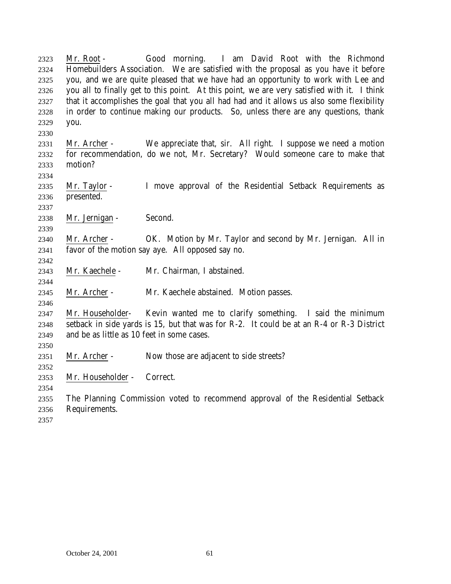Mr. Root - Good morning. I am David Root with the Richmond Homebuilders Association. We are satisfied with the proposal as you have it before you, and we are quite pleased that we have had an opportunity to work with Lee and you all to finally get to this point. At this point, we are very satisfied with it. I think that it accomplishes the goal that you all had had and it allows us also some flexibility in order to continue making our products. So, unless there are any questions, thank you. Mr. Archer - We appreciate that, sir. All right. I suppose we need a motion for recommendation, do we not, Mr. Secretary? Would someone care to make that motion? Mr. Taylor - I move approval of the Residential Setback Requirements as presented. Mr. Jernigan - Second. Mr. Archer - OK. Motion by Mr. Taylor and second by Mr. Jernigan. All in favor of the motion say aye. All opposed say no. Mr. Kaechele - Mr. Chairman, I abstained. Mr. Archer - Mr. Kaechele abstained. Motion passes. Mr. Householder- Kevin wanted me to clarify something. I said the minimum setback in side yards is 15, but that was for R-2. It could be at an R-4 or R-3 District and be as little as 10 feet in some cases. Mr. Archer - Now those are adjacent to side streets? Mr. Householder - Correct. The Planning Commission voted to recommend approval of the Residential Setback Requirements.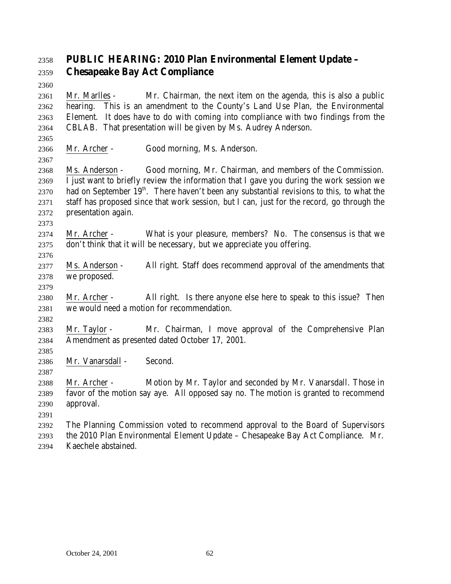# **PUBLIC HEARING: 2010 Plan Environmental Element Update – Chesapeake Bay Act Compliance**

 Mr. Marlles - Mr. Chairman, the next item on the agenda, this is also a public hearing. This is an amendment to the County's Land Use Plan, the Environmental Element. It does have to do with coming into compliance with two findings from the CBLAB. That presentation will be given by Ms. Audrey Anderson.

 Mr. Archer - Good morning, Ms. Anderson.

 Ms. Anderson - Good morning, Mr. Chairman, and members of the Commission. I just want to briefly review the information that I gave you during the work session we 2370 . had on September  $19<sup>th</sup>$ . There haven't been any substantial revisions to this, to what the staff has proposed since that work session, but I can, just for the record, go through the presentation again.

- Mr. Archer What is your pleasure, members? No. The consensus is that we don't think that it will be necessary, but we appreciate you offering.
- Ms. Anderson All right. Staff does recommend approval of the amendments that we proposed.
- Mr. Archer All right. Is there anyone else here to speak to this issue? Then we would need a motion for recommendation.
- Mr. Taylor - Mr. Chairman, I move approval of the Comprehensive Plan
- Amendment as presented dated October 17, 2001.

 Mr. Vanarsdall - Second.

 Mr. Archer - Motion by Mr. Taylor and seconded by Mr. Vanarsdall. Those in favor of the motion say aye. All opposed say no. The motion is granted to recommend approval.

- 
- The Planning Commission voted to recommend approval to the Board of Supervisors the 2010 Plan Environmental Element Update – Chesapeake Bay Act Compliance. Mr. Kaechele abstained.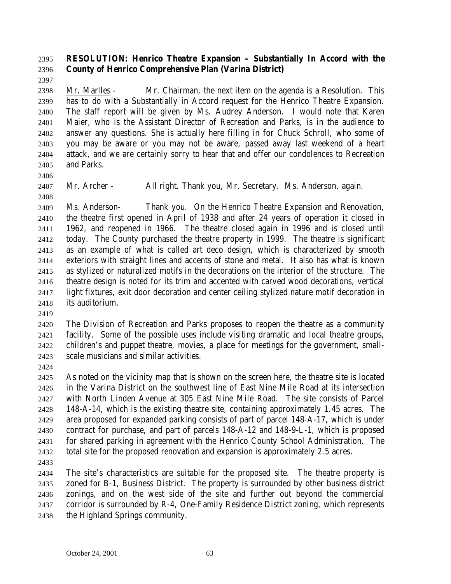## **RESOLUTION: Henrico Theatre Expansion – Substantially In Accord with the County of Henrico Comprehensive Plan (Varina District)**

 Mr. Marlles - Mr. Chairman, the next item on the agenda is a Resolution. This has to do with a Substantially in Accord request for the Henrico Theatre Expansion. The staff report will be given by Ms. Audrey Anderson. I would note that Karen Maier, who is the Assistant Director of Recreation and Parks, is in the audience to answer any questions. She is actually here filling in for Chuck Schroll, who some of you may be aware or you may not be aware, passed away last weekend of a heart attack, and we are certainly sorry to hear that and offer our condolences to Recreation and Parks.

Mr. Archer - All right. Thank you, Mr. Secretary. Ms. Anderson, again.

 Ms. Anderson- Thank you. On the Henrico Theatre Expansion and Renovation, the theatre first opened in April of 1938 and after 24 years of operation it closed in 1962, and reopened in 1966. The theatre closed again in 1996 and is closed until today. The County purchased the theatre property in 1999. The theatre is significant as an example of what is called art deco design, which is characterized by smooth exteriors with straight lines and accents of stone and metal. It also has what is known as stylized or naturalized motifs in the decorations on the interior of the structure. The theatre design is noted for its trim and accented with carved wood decorations, vertical light fixtures, exit door decoration and center ceiling stylized nature motif decoration in its auditorium.

 The Division of Recreation and Parks proposes to reopen the theatre as a community facility. Some of the possible uses include visiting dramatic and local theatre groups, children's and puppet theatre, movies, a place for meetings for the government, small-scale musicians and similar activities.

 As noted on the vicinity map that is shown on the screen here, the theatre site is located in the Varina District on the southwest line of East Nine Mile Road at its intersection with North Linden Avenue at 305 East Nine Mile Road. The site consists of Parcel 148-A-14, which is the existing theatre site, containing approximately 1.45 acres. The area proposed for expanded parking consists of part of parcel 148-A-17, which is under contract for purchase, and part of parcels 148-A-12 and 148-9-L-1, which is proposed for shared parking in agreement with the Henrico County School Administration. The total site for the proposed renovation and expansion is approximately 2.5 acres.

 The site's characteristics are suitable for the proposed site. The theatre property is zoned for B-1, Business District. The property is surrounded by other business district zonings, and on the west side of the site and further out beyond the commercial corridor is surrounded by R-4, One-Family Residence District zoning, which represents the Highland Springs community.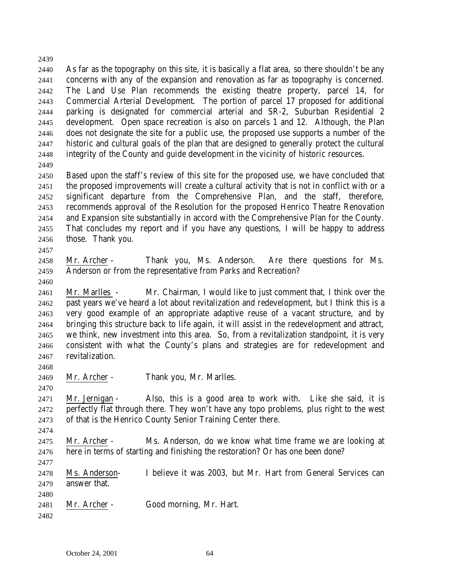As far as the topography on this site, it is basically a flat area, so there shouldn't be any concerns with any of the expansion and renovation as far as topography is concerned. The Land Use Plan recommends the existing theatre property, parcel 14, for Commercial Arterial Development. The portion of parcel 17 proposed for additional parking is designated for commercial arterial and SR-2, Suburban Residential 2 development. Open space recreation is also on parcels 1 and 12. Although, the Plan does not designate the site for a public use, the proposed use supports a number of the historic and cultural goals of the plan that are designed to generally protect the cultural integrity of the County and guide development in the vicinity of historic resources.

 Based upon the staff's review of this site for the proposed use, we have concluded that the proposed improvements will create a cultural activity that is not in conflict with or a significant departure from the Comprehensive Plan, and the staff, therefore, recommends approval of the Resolution for the proposed Henrico Theatre Renovation and Expansion site substantially in accord with the Comprehensive Plan for the County. That concludes my report and if you have any questions, I will be happy to address those. Thank you.

- 
- Mr. Archer Thank you, Ms. Anderson. Are there questions for Ms. Anderson or from the representative from Parks and Recreation?
- 

 Mr. Marlles - Mr. Chairman, I would like to just comment that, I think over the past years we've heard a lot about revitalization and redevelopment, but I think this is a very good example of an appropriate adaptive reuse of a vacant structure, and by bringing this structure back to life again, it will assist in the redevelopment and attract, we think, new investment into this area. So, from a revitalization standpoint, it is very consistent with what the County's plans and strategies are for redevelopment and revitalization.

Mr. Archer - Thank you, Mr. Marlles.

 Mr. Jernigan - Also, this is a good area to work with. Like she said, it is perfectly flat through there. They won't have any topo problems, plus right to the west of that is the Henrico County Senior Training Center there.

 Mr. Archer - Ms. Anderson, do we know what time frame we are looking at here in terms of starting and finishing the restoration? Or has one been done?

 Ms. Anderson- I believe it was 2003, but Mr. Hart from General Services can answer that.

 Mr. Archer - Good morning, Mr. Hart.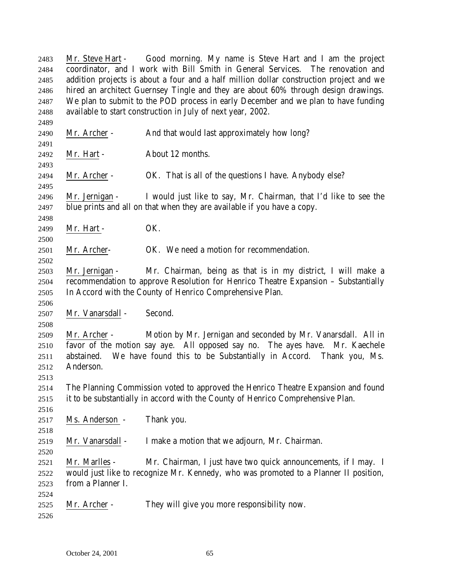Mr. Steve Hart - Good morning. My name is Steve Hart and I am the project coordinator, and I work with Bill Smith in General Services. The renovation and addition projects is about a four and a half million dollar construction project and we hired an architect Guernsey Tingle and they are about 60% through design drawings. We plan to submit to the POD process in early December and we plan to have funding available to start construction in July of next year, 2002. Mr. Archer - And that would last approximately how long? Mr. Hart - About 12 months. Mr. Archer - OK. That is all of the questions I have. Anybody else? Mr. Jernigan - I would just like to say, Mr. Chairman, that I'd like to see the blue prints and all on that when they are available if you have a copy. 2499 Mr. Hart - OK. Mr. Archer- OK. We need a motion for recommendation. Mr. Jernigan - Mr. Chairman, being as that is in my district, I will make a recommendation to approve Resolution for Henrico Theatre Expansion – Substantially In Accord with the County of Henrico Comprehensive Plan. Mr. Vanarsdall - Second. Mr. Archer - Motion by Mr. Jernigan and seconded by Mr. Vanarsdall. All in favor of the motion say aye. All opposed say no. The ayes have. Mr. Kaechele abstained. We have found this to be Substantially in Accord. Thank you, Ms. Anderson. The Planning Commission voted to approved the Henrico Theatre Expansion and found it to be substantially in accord with the County of Henrico Comprehensive Plan. Ms. Anderson - Thank you. Mr. Vanarsdall - I make a motion that we adjourn, Mr. Chairman. Mr. Marlles - Mr. Chairman, I just have two quick announcements, if I may. I would just like to recognize Mr. Kennedy, who was promoted to a Planner II position, from a Planner I. Mr. Archer - They will give you more responsibility now.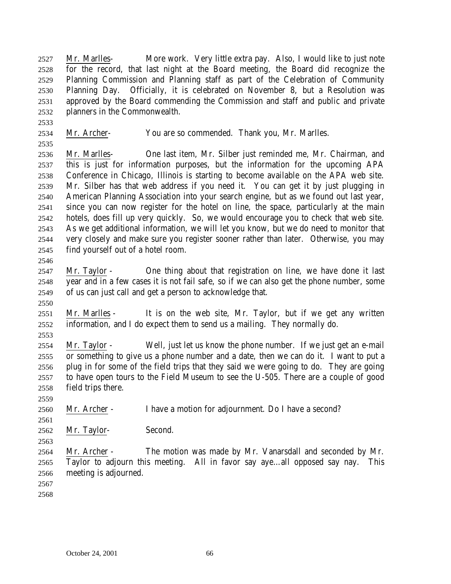Mr. Marlles- More work. Very little extra pay. Also, I would like to just note for the record, that last night at the Board meeting, the Board did recognize the Planning Commission and Planning staff as part of the Celebration of Community Planning Day. Officially, it is celebrated on November 8, but a Resolution was approved by the Board commending the Commission and staff and public and private planners in the Commonwealth.

Mr. Archer- You are so commended. Thank you, Mr. Marlles.

 Mr. Marlles- One last item, Mr. Silber just reminded me, Mr. Chairman, and this is just for information purposes, but the information for the upcoming APA Conference in Chicago, Illinois is starting to become available on the APA web site. Mr. Silber has that web address if you need it. You can get it by just plugging in American Planning Association into your search engine, but as we found out last year, since you can now register for the hotel on line, the space, particularly at the main hotels, does fill up very quickly. So, we would encourage you to check that web site. As we get additional information, we will let you know, but we do need to monitor that very closely and make sure you register sooner rather than later. Otherwise, you may find yourself out of a hotel room.

- Mr. Taylor One thing about that registration on line, we have done it last year and in a few cases it is not fail safe, so if we can also get the phone number, some of us can just call and get a person to acknowledge that.
- Mr. Marlles It is on the web site, Mr. Taylor, but if we get any written information, and I do expect them to send us a mailing. They normally do.
- Mr. Taylor Well, just let us know the phone number. If we just get an e-mail or something to give us a phone number and a date, then we can do it. I want to put a plug in for some of the field trips that they said we were going to do. They are going to have open tours to the Field Museum to see the U-505. There are a couple of good field trips there.
- Mr. Archer I have a motion for adjournment. Do I have a second?
- Mr. Taylor- Second.
- Mr. Archer The motion was made by Mr. Vanarsdall and seconded by Mr. Taylor to adjourn this meeting. All in favor say aye…all opposed say nay. This meeting is adjourned.
-